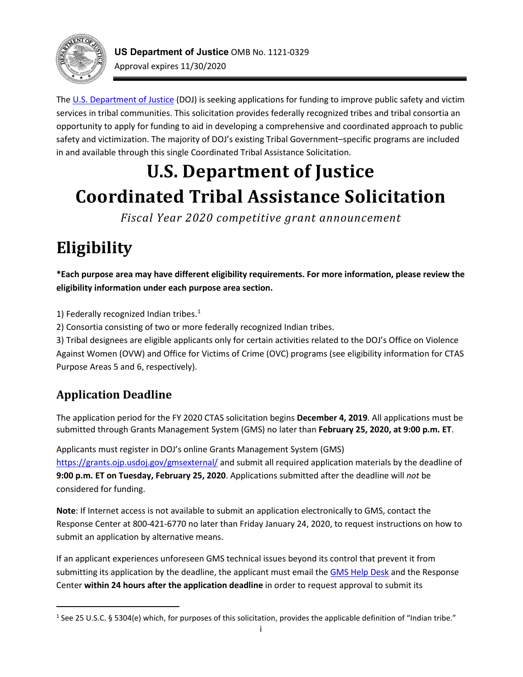<span id="page-0-1"></span>

The [U.S. Department of Justice \(](http://www.justice.gov/)DOJ) is seeking applications for funding to improve public safety and victim opportunity to apply for funding to aid in developing a comprehensive and coordinated approach to public services in tribal communities. This solicitation provides federally recognized tribes and tribal consortia an safety and victimization. The majority of DOJ's existing Tribal Government–specific programs are included in and available through this single Coordinated Tribal Assistance Solicitation.

# **U.S. Department of Justice Coordinated Tribal Assistance Solicitation**

*Fiscal Year 2020 competitive grant announcement* 

# **Eligibility**

 **\*Each purpose area may have different eligibility requirements. For more information, please review the eligibility information under each purpose area section.** 

[1](#page-0-0)) Federally recognized Indian tribes. $<sup>1</sup>$ </sup>

2) Consortia consisting of two or more federally recognized Indian tribes.

 3) Tribal designees are eligible applicants only for certain activities related to the DOJ's Office on Violence Purpose Areas 5 and 6, respectively). Against Women (OVW) and Office for Victims of Crime (OVC) programs (see eligibility information for CTAS

# **Application Deadline**

l

 The application period for the FY 2020 CTAS solicitation begins **December 4, 2019**. All applications must be submitted through Grants Management System (GMS) no later than **February 25, 2020, at 9:00 p.m. ET**.

 Applicants must register in DOJ's online Grants Management System (GMS) <https://grants.ojp.usdoj.gov/gmsexternal/>and submit all required application materials by the deadline of **9:00 p.m. ET on Tuesday, February 25, 2020**. Applications submitted after the deadline will *not* be considered for funding.

 Response Center at 800-421-6770 no later than Friday January 24, 2020, to request instructions on how to **Note**: If Internet access is not available to submit an application electronically to GMS, contact the submit an application by alternative means.

submitting its application by the deadline, the applicant must email the **GMS Help Desk** and the Response If an applicant experiences unforeseen GMS technical issues beyond its control that prevent it from Center **within 24 hours after the application deadline** in order to request approval to submit its

<span id="page-0-0"></span><sup>&</sup>lt;sup>1</sup> See 25 U.S.C. § 5304(e) which, for purposes of this solicitation, provides the applicable definition of "Indian tribe."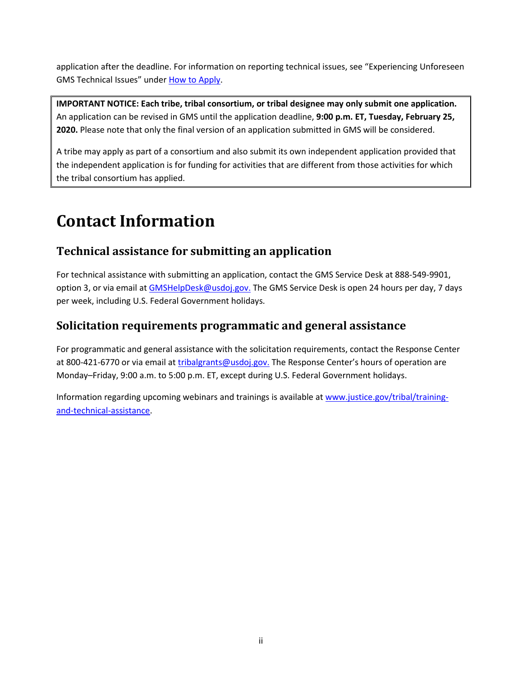<span id="page-1-0"></span>application after the deadline. For information on reporting technical issues, see "Experiencing Unforeseen GMS Technical Issues" unde[r How to Apply.](#page-45-0)

 **IMPORTANT NOTICE: Each tribe, tribal consortium, or tribal designee may only submit one application. 2020.** Please note that only the final version of an application submitted in GMS will be considered. An application can be revised in GMS until the application deadline, **9:00 p.m. ET, Tuesday, February 25,** 

 A tribe may apply as part of a consortium and also submit its own independent application provided that the independent application is for funding for activities that are different from those activities for which the tribal consortium has applied.

# **Contact Information**

## **Technical assistance for submitting an application**

option 3, or via email a[t GMSHelpDesk@usdoj.gov.](mailto:GMSHelpDesk@usdoj.gov.) The GMS Service Desk is open 24 hours per day, 7 days For technical assistance with submitting an application, contact the GMS Service Desk at 888-549-9901, per week, including U.S. Federal Government holidays.

## **Solicitation requirements programmatic and general assistance**

 Monday–Friday, 9:00 a.m. to 5:00 p.m. ET, except during U.S. Federal Government holidays. For programmatic and general assistance with the solicitation requirements, contact the Response Center at 800-421-6770 or via email at [tribalgrants@usdoj.gov.](mailto:tribalgrants@usdoj.gov.) The Response Center's hours of operation are

Information regarding upcoming webinars and trainings is available at [www.justice.gov/tribal/training](http://www.justice.gov/tribal/training-and-technical-assistance)[and-technical-assistance.](http://www.justice.gov/tribal/training-and-technical-assistance)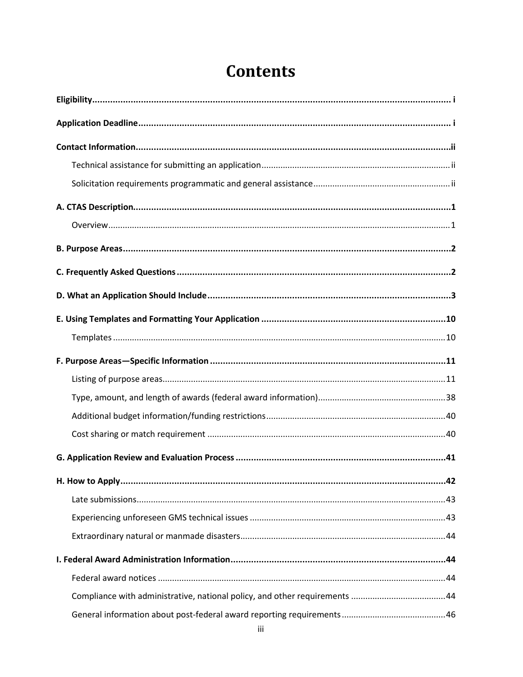# **Contents**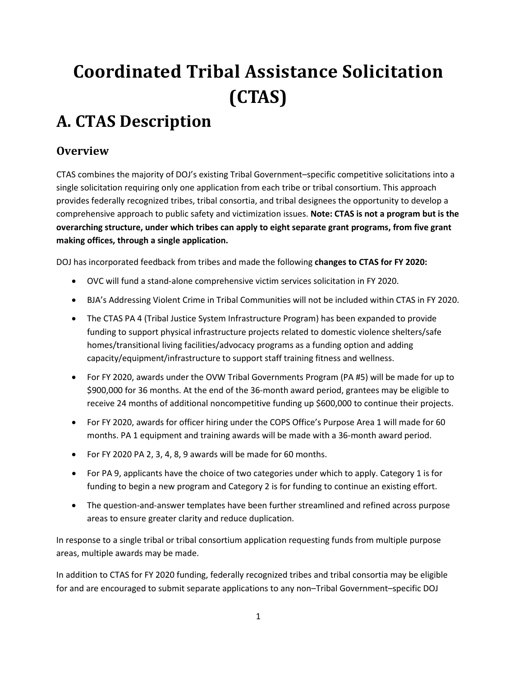# <span id="page-4-0"></span>**Coordinated Tribal Assistance Solicitation (CTAS)**

# **A. CTAS Description**

## **Overview**

 CTAS combines the majority of DOJ's existing Tribal Government–specific competitive solicitations into a  comprehensive approach to public safety and victimization issues. **Note: CTAS is not a program but is the overarching structure, under which tribes can apply to eight separate grant programs, from five grant making offices, through a single application.** single solicitation requiring only one application from each tribe or tribal consortium. This approach provides federally recognized tribes, tribal consortia, and tribal designees the opportunity to develop a

DOJ has incorporated feedback from tribes and made the following **changes to CTAS for FY 2020:** 

- OVC will fund a stand-alone comprehensive victim services solicitation in FY 2020.
- BJA's Addressing Violent Crime in Tribal Communities will not be included within CTAS in FY 2020.
- • The CTAS PA 4 (Tribal Justice System Infrastructure Program) has been expanded to provide capacity/equipment/infrastructure to support staff training fitness and wellness. funding to support physical infrastructure projects related to domestic violence shelters/safe homes/transitional living facilities/advocacy programs as a funding option and adding
- \$900,000 for 36 months. At the end of the 36-month award period, grantees may be eligible to receive 24 months of additional noncompetitive funding up \$600,000 to continue their projects. • For FY 2020, awards under the OVW Tribal Governments Program (PA #5) will be made for up to
- • For FY 2020, awards for officer hiring under the COPS Office's Purpose Area 1 will made for 60 months. PA 1 equipment and training awards will be made with a 36-month award period.
- For FY 2020 PA 2, 3, 4, 8, 9 awards will be made for 60 months.
- • For PA 9, applicants have the choice of two categories under which to apply. Category 1 is for funding to begin a new program and Category 2 is for funding to continue an existing effort.
- areas to ensure greater clarity and reduce duplication. • The question-and-answer templates have been further streamlined and refined across purpose

 areas, multiple awards may be made. In response to a single tribal or tribal consortium application requesting funds from multiple purpose

 for and are encouraged to submit separate applications to any non–Tribal Government–specific DOJ In addition to CTAS for FY 2020 funding, federally recognized tribes and tribal consortia may be eligible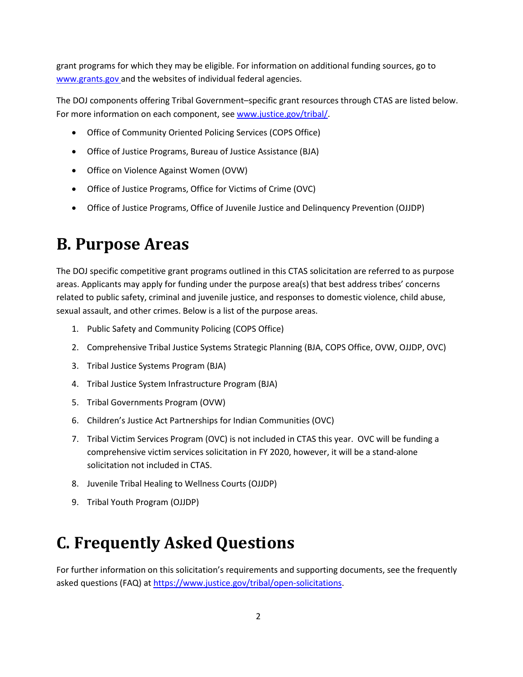<span id="page-5-0"></span> grant programs for which they may be eligible. For information on additional funding sources, go to <www.grants.gov> and the websites of individual federal agencies.

 The DOJ components offering Tribal Government–specific grant resources through CTAS are listed below. For more information on each component, see [www.justice.gov/tribal/.](http://www.justice.gov/tribal/)

- Office of Community Oriented Policing Services (COPS Office)
- Office of Justice Programs, Bureau of Justice Assistance (BJA)
- Office on Violence Against Women (OVW)
- Office of Justice Programs, Office for Victims of Crime (OVC)
- Office of Justice Programs, Office of Juvenile Justice and Delinquency Prevention (OJJDP)

# **B. Purpose Areas**

 The DOJ specific competitive grant programs outlined in this CTAS solicitation are referred to as purpose related to public safety, criminal and juvenile justice, and responses to domestic violence, child abuse, sexual assault, and other crimes. Below is a list of the purpose areas. areas. Applicants may apply for funding under the purpose area(s) that best address tribes' concerns

- 1. Public Safety and Community Policing (COPS Office)
- 2. Comprehensive Tribal Justice Systems Strategic Planning (BJA, COPS Office, OVW, OJJDP, OVC)
- 3. Tribal Justice Systems Program (BJA)
- 4. Tribal Justice System Infrastructure Program (BJA)
- 5. Tribal Governments Program (OVW)
- 6. Children's Justice Act Partnerships for Indian Communities (OVC)
- 7. Tribal Victim Services Program (OVC) is not included in CTAS this year. OVC will be funding a comprehensive victim services solicitation in FY 2020, however, it will be a stand-alone solicitation not included in CTAS.
- 8. Juvenile Tribal Healing to Wellness Courts (OJJDP)
- 9. Tribal Youth Program (OJJDP)

# **C. Frequently Asked Questions**

 For further information on this solicitation's requirements and supporting documents, see the frequently asked questions (FAQ) a[t https://www.justice.gov/tribal/open-solicitations.](https://www.justice.gov/tribal/open-solicitations)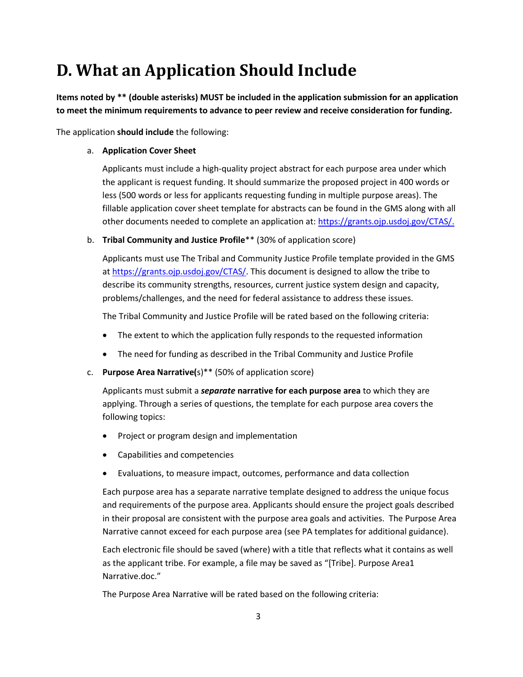# <span id="page-6-0"></span> **D. What an Application Should Include**

**Items noted by \*\* (double asterisks) MUST be included in the application submission for an application to meet the minimum requirements to advance to peer review and receive consideration for funding.** 

The application **should include** the following:

#### a. **Application Cover Sheet**

 less (500 words or less for applicants requesting funding in multiple purpose areas). The other documents needed to complete an application at[: https://grants.ojp.usdoj.gov/CTAS/.](https://grants.ojp.usdoj.gov/CTAS/) Applicants must include a high-quality project abstract for each purpose area under which the applicant is request funding. It should summarize the proposed project in 400 words or fillable application cover sheet template for abstracts can be found in the GMS along with all

b. **Tribal Community and Justice Profile**\*\* (30% of application score)

 Applicants must use The Tribal and Community Justice Profile template provided in the GMS at [https://grants.ojp.usdoj.gov/CTAS/.](https://grants.ojp.usdoj.gov/CTAS/) This document is designed to allow the tribe to describe its community strengths, resources, current justice system design and capacity,

problems/challenges, and the need for federal assistance to address these issues.<br>The Tribal Community and Justice Profile will be rated based on the following criteria: The Tribal Community and Justice Profile will be rated based on the following criteria:

- The extent to which the application fully responds to the requested information
- The need for funding as described in the Tribal Community and Justice Profile
- c. **Purpose Area Narrative(**s)\*\* (50% of application score)

Applicants must submit a *separate* **narrative for each purpose area** to which they are applying. Through a series of questions, the template for each purpose area covers the following topics:

- Project or program design and implementation
- Capabilities and competencies
- Evaluations, to measure impact, outcomes, performance and data collection

 Each purpose area has a separate narrative template designed to address the unique focus in their proposal are consistent with the purpose area goals and activities. The Purpose Area and requirements of the purpose area. Applicants should ensure the project goals described Narrative cannot exceed for each purpose area (see PA templates for additional guidance).

 Each electronic file should be saved (where) with a title that reflects what it contains as well as the applicant tribe. For example, a file may be saved as "[Tribe]. Purpose Area1 Narrative.doc."

The Purpose Area Narrative will be rated based on the following criteria: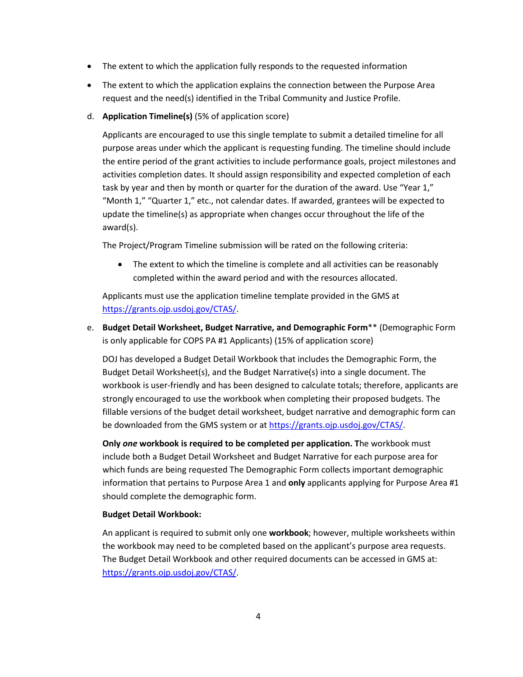- The extent to which the application fully responds to the requested information
- The extent to which the application explains the connection between the Purpose Area request and the need(s) identified in the Tribal Community and Justice Profile.
- d. **Application Timeline(s)** (5% of application score)

 Applicants are encouraged to use this single template to submit a detailed timeline for all the entire period of the grant activities to include performance goals, project milestones and activities completion dates. It should assign responsibility and expected completion of each task by year and then by month or quarter for the duration of the award. Use "Year 1," "Month 1," "Quarter 1," etc., not calendar dates. If awarded, grantees will be expected to purpose areas under which the applicant is requesting funding. The timeline should include update the timeline(s) as appropriate when changes occur throughout the life of the award(s).

The Project/Program Timeline submission will be rated on the following criteria:

 • The extent to which the timeline is complete and all activities can be reasonably completed within the award period and with the resources allocated.

Applicants must use the application timeline template provided in the GMS at [https://grants.ojp.usdoj.gov/CTAS/.](https://grants.ojp.usdoj.gov/CTAS/)

 e. **Budget Detail Worksheet, Budget Narrative, and Demographic Form**\*\* (Demographic Form is only applicable for COPS PA #1 Applicants) (15% of application score)

 DOJ has developed a Budget Detail Workbook that includes the Demographic Form, the strongly encouraged to use the workbook when completing their proposed budgets. The be downloaded from the GMS system or at [https://grants.ojp.usdoj.gov/CTAS/.](https://grants.ojp.usdoj.gov/CTAS/) Budget Detail Worksheet(s), and the Budget Narrative(s) into a single document. The workbook is user-friendly and has been designed to calculate totals; therefore, applicants are fillable versions of the budget detail worksheet, budget narrative and demographic form can

 information that pertains to Purpose Area 1 and **only** applicants applying for Purpose Area #1 **Only** *one* **workbook is required to be completed per application. T**he workbook must include both a Budget Detail Worksheet and Budget Narrative for each purpose area for which funds are being requested The Demographic Form collects important demographic should complete the demographic form.

#### **Budget Detail Workbook:**

 the workbook may need to be completed based on the applicant's purpose area requests. The Budget Detail Workbook and other required documents can be accessed in GMS at: An applicant is required to submit only one **workbook**; however, multiple worksheets within [https://grants.ojp.usdoj.gov/CTAS/.](https://grants.ojp.usdoj.gov/CTAS/)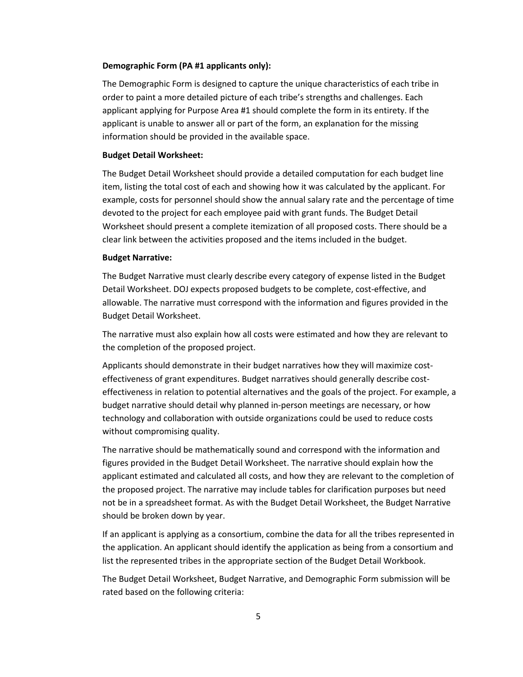#### **Demographic Form (PA #1 applicants only):**

 The Demographic Form is designed to capture the unique characteristics of each tribe in applicant is unable to answer all or part of the form, an explanation for the missing order to paint a more detailed picture of each tribe's strengths and challenges. Each applicant applying for Purpose Area #1 should complete the form in its entirety. If the information should be provided in the available space.

#### **Budget Detail Worksheet:**

 devoted to the project for each employee paid with grant funds. The Budget Detail The Budget Detail Worksheet should provide a detailed computation for each budget line item, listing the total cost of each and showing how it was calculated by the applicant. For example, costs for personnel should show the annual salary rate and the percentage of time Worksheet should present a complete itemization of all proposed costs. There should be a clear link between the activities proposed and the items included in the budget.

#### **Budget Narrative:**

 The Budget Narrative must clearly describe every category of expense listed in the Budget Detail Worksheet. DOJ expects proposed budgets to be complete, cost-effective, and allowable. The narrative must correspond with the information and figures provided in the Budget Detail Worksheet.

The narrative must also explain how all costs were estimated and how they are relevant to the completion of the proposed project.

 effectiveness in relation to potential alternatives and the goals of the project. For example, a budget narrative should detail why planned in-person meetings are necessary, or how technology and collaboration with outside organizations could be used to reduce costs Applicants should demonstrate in their budget narratives how they will maximize costeffectiveness of grant expenditures. Budget narratives should generally describe costwithout compromising quality.

 The narrative should be mathematically sound and correspond with the information and the proposed project. The narrative may include tables for clarification purposes but need figures provided in the Budget Detail Worksheet. The narrative should explain how the applicant estimated and calculated all costs, and how they are relevant to the completion of not be in a spreadsheet format. As with the Budget Detail Worksheet, the Budget Narrative should be broken down by year.

If an applicant is applying as a consortium, combine the data for all the tribes represented in the application. An applicant should identify the application as being from a consortium and list the represented tribes in the appropriate section of the Budget Detail Workbook.

 rated based on the following criteria: The Budget Detail Worksheet, Budget Narrative, and Demographic Form submission will be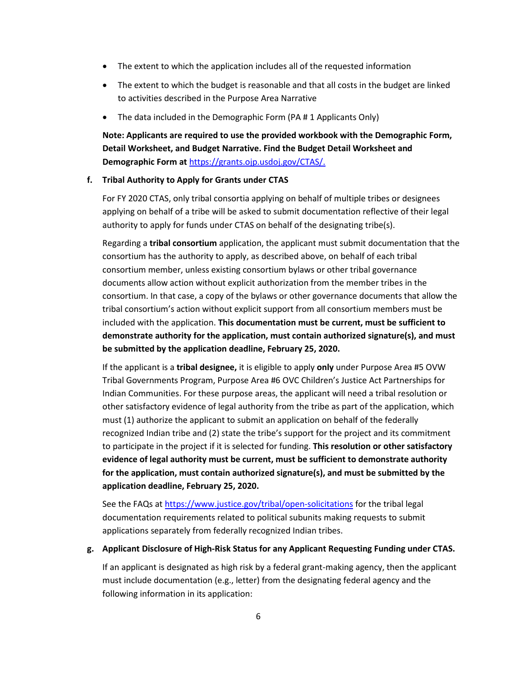- The extent to which the application includes all of the requested information
- • The extent to which the budget is reasonable and that all costs in the budget are linked to activities described in the Purpose Area Narrative
- The data included in the Demographic Form (PA # 1 Applicants Only)

## **Note: Applicants are required to use the provided workbook with the Demographic Form, Detail Worksheet, and Budget Narrative. Find the Budget Detail Worksheet and Demographic Form at** [https://grants.ojp.usdoj.gov/CTAS/.](https://grants.ojp.usdoj.gov/CTAS/)

#### **f. Tribal Authority to Apply for Grants under CTAS**

 For FY 2020 CTAS, only tribal consortia applying on behalf of multiple tribes or designees applying on behalf of a tribe will be asked to submit documentation reflective of their legal authority to apply for funds under CTAS on behalf of the designating tribe(s).

 tribal consortium's action without explicit support from all consortium members must be Regarding a **tribal consortium** application, the applicant must submit documentation that the consortium has the authority to apply, as described above, on behalf of each tribal consortium member, unless existing consortium bylaws or other tribal governance documents allow action without explicit authorization from the member tribes in the consortium. In that case, a copy of the bylaws or other governance documents that allow the included with the application. **This documentation must be current, must be sufficient to demonstrate authority for the application, must contain authorized signature(s), and must be submitted by the application deadline, February 25, 2020.** 

 If the applicant is a **tribal designee,** it is eligible to apply **only** under Purpose Area #5 OVW Tribal Governments Program, Purpose Area #6 OVC Children's Justice Act Partnerships for other satisfactory evidence of legal authority from the tribe as part of the application, which  **evidence of legal authority must be current, must be sufficient to demonstrate authority for the application, must contain authorized signature(s), and must be submitted by the**  Indian Communities. For these purpose areas, the applicant will need a tribal resolution or must (1) authorize the applicant to submit an application on behalf of the federally recognized Indian tribe and (2) state the tribe's support for the project and its commitment to participate in the project if it is selected for funding. **This resolution or other satisfactory application deadline, February 25, 2020.** 

See the FAQs at<https://www.justice.gov/tribal/open-solicitations>for the tribal legal documentation requirements related to political subunits making requests to submit applications separately from federally recognized Indian tribes.

#### **g. Applicant Disclosure of High-Risk Status for any Applicant Requesting Funding under CTAS.**

If an applicant is designated as high risk by a federal grant-making agency, then the applicant must include documentation (e.g., letter) from the designating federal agency and the following information in its application: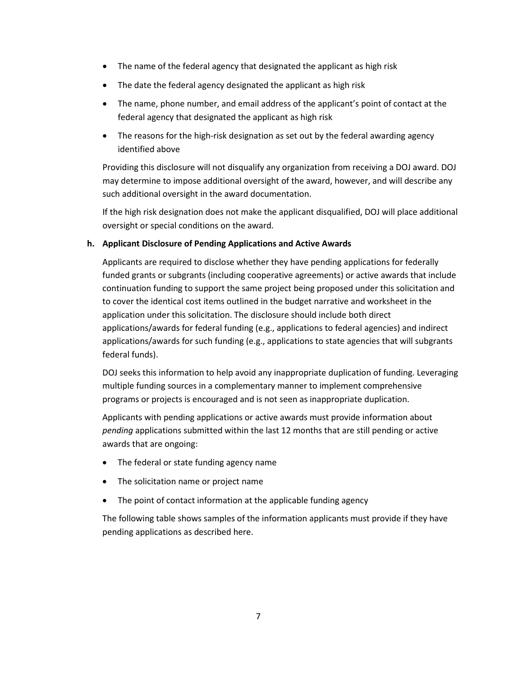- The name of the federal agency that designated the applicant as high risk
- The date the federal agency designated the applicant as high risk
- • The name, phone number, and email address of the applicant's point of contact at the federal agency that designated the applicant as high risk
- • The reasons for the high-risk designation as set out by the federal awarding agency identified above

 Providing this disclosure will not disqualify any organization from receiving a DOJ award. DOJ may determine to impose additional oversight of the award, however, and will describe any such additional oversight in the award documentation.

 If the high risk designation does not make the applicant disqualified, DOJ will place additional oversight or special conditions on the award.

#### **h. Applicant Disclosure of Pending Applications and Active Awards**

 funded grants or subgrants (including cooperative agreements) or active awards that include applications/awards for federal funding (e.g., applications to federal agencies) and indirect Applicants are required to disclose whether they have pending applications for federally continuation funding to support the same project being proposed under this solicitation and to cover the identical cost items outlined in the budget narrative and worksheet in the application under this solicitation. The disclosure should include both direct applications/awards for such funding (e.g., applications to state agencies that will subgrants federal funds).

 programs or projects is encouraged and is not seen as inappropriate duplication. DOJ seeks this information to help avoid any inappropriate duplication of funding. Leveraging multiple funding sources in a complementary manner to implement comprehensive

 Applicants with pending applications or active awards must provide information about *pending* applications submitted within the last 12 months that are still pending or active awards that are ongoing:

- The federal or state funding agency name
- The solicitation name or project name
- The point of contact information at the applicable funding agency

The following table shows samples of the information applicants must provide if they have pending applications as described here.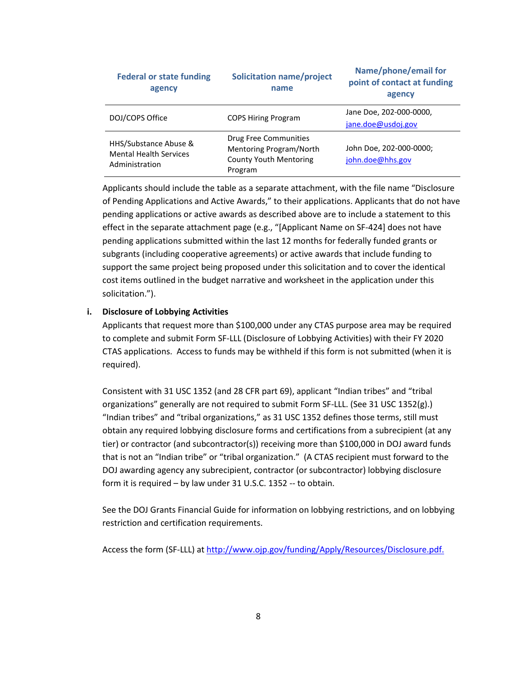| <b>Federal or state funding</b><br>agency                                | <b>Solicitation name/project</b><br>name                                                     | Name/phone/email for<br>point of contact at funding<br>agency |
|--------------------------------------------------------------------------|----------------------------------------------------------------------------------------------|---------------------------------------------------------------|
| DOJ/COPS Office                                                          | <b>COPS Hiring Program</b>                                                                   | Jane Doe, 202-000-0000,<br>jane.doe@usdoj.gov                 |
| HHS/Substance Abuse &<br><b>Mental Health Services</b><br>Administration | Drug Free Communities<br>Mentoring Program/North<br><b>County Youth Mentoring</b><br>Program | John Doe, 202-000-0000;<br>john.doe@hhs.gov                   |

 support the same project being proposed under this solicitation and to cover the identical Applicants should include the table as a separate attachment, with the file name "Disclosure of Pending Applications and Active Awards," to their applications. Applicants that do not have pending applications or active awards as described above are to include a statement to this effect in the separate attachment page (e.g., "[Applicant Name on SF-424] does not have pending applications submitted within the last 12 months for federally funded grants or subgrants (including cooperative agreements) or active awards that include funding to cost items outlined in the budget narrative and worksheet in the application under this solicitation.").

#### **i. Disclosure of Lobbying Activities**

 Applicants that request more than \$100,000 under any CTAS purpose area may be required to complete and submit Form SF-LLL (Disclosure of Lobbying Activities) with their FY 2020 CTAS applications. Access to funds may be withheld if this form is not submitted (when it is required).

organizations" generally are not required to submit Form SF-LLL. (See 31 USC 1352(g).) organizations" generally are not required to submit Form SF-LLL. (See 31 USC 1352(g).)<br>"Indian tribes" and "tribal organizations," as 31 USC 1352 defines those terms, still must tier) or contractor (and subcontractor(s)) receiving more than \$100,000 in DOJ award funds that is not an "Indian tribe" or "tribal organization." (A CTAS recipient must forward to the form it is required – by law under 31 U.S.C. 1352 -- to obtain. Consistent with 31 USC 1352 (and 28 CFR part 69), applicant "Indian tribes" and "tribal obtain any required lobbying disclosure forms and certifications from a subrecipient (at any DOJ awarding agency any subrecipient, contractor (or subcontractor) lobbying disclosure

 See the DOJ Grants Financial Guide for information on lobbying restrictions, and on lobbying restriction and certification requirements.

Access the form (SF-LLL) at [http://www.ojp.gov/funding/Apply/Resources/Disclosure.pdf.](http://www.ojp.gov/funding/Apply/Resources/Disclosure.pdf)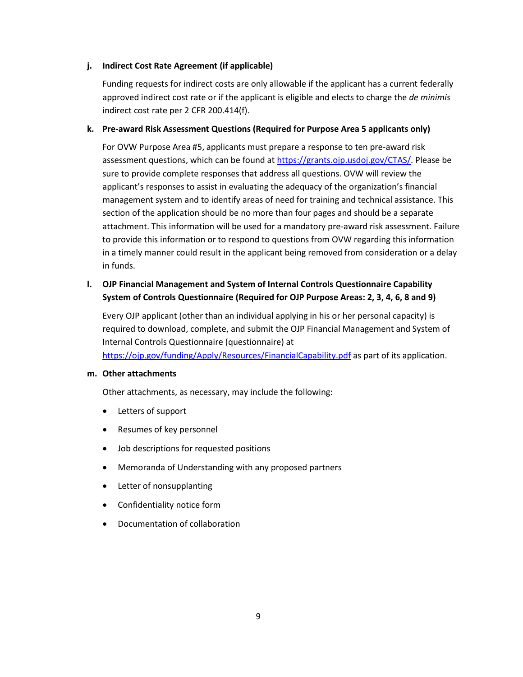#### **j. Indirect Cost Rate Agreement (if applicable)**

 approved indirect cost rate or if the applicant is eligible and elects to charge the *de minimis*  Funding requests for indirect costs are only allowable if the applicant has a current federally indirect cost rate per 2 CFR 200.414(f).

#### **k. Pre-award Risk Assessment Questions (Required for Purpose Area 5 applicants only)**

 sure to provide complete responses that address all questions. OVW will review the applicant's responses to assist in evaluating the adequacy of the organization's financial For OVW Purpose Area #5, applicants must prepare a response to ten pre-award risk assessment questions, which can be found at [https://grants.ojp.usdoj.gov/CTAS/.](https://grants.ojp.usdoj.gov/CTAS/) Please be management system and to identify areas of need for training and technical assistance. This section of the application should be no more than four pages and should be a separate attachment. This information will be used for a mandatory pre-award risk assessment. Failure to provide this information or to respond to questions from OVW regarding this information in a timely manner could result in the applicant being removed from consideration or a delay in funds.

### **l. OJP Financial Management and System of Internal Controls Questionnaire Capability System of Controls Questionnaire (Required for OJP Purpose Areas: 2, 3, 4, 6, 8 and 9)**

 required to download, complete, and submit the OJP Financial Management and System of Every OJP applicant (other than an individual applying in his or her personal capacity) is Internal Controls Questionnaire (questionnaire) at <https://ojp.gov/funding/Apply/Resources/FinancialCapability.pdf>as part of its application.

#### **m. Other attachments**

Other attachments, as necessary, may include the following:

- Letters of support
- Resumes of key personnel
- Job descriptions for requested positions
- Memoranda of Understanding with any proposed partners
- Letter of nonsupplanting
- Confidentiality notice form
- Documentation of collaboration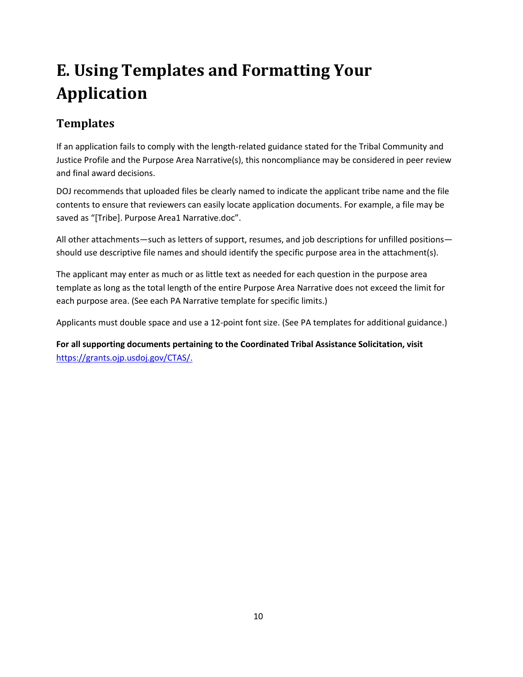# <span id="page-13-0"></span>**E. Using Templates and Formatting Your Application**

## **Templates**

 If an application fails to comply with the length-related guidance stated for the Tribal Community and Justice Profile and the Purpose Area Narrative(s), this noncompliance may be considered in peer review and final award decisions.

 saved as "[Tribe]. Purpose Area1 Narrative.doc". DOJ recommends that uploaded files be clearly named to indicate the applicant tribe name and the file contents to ensure that reviewers can easily locate application documents. For example, a file may be

 should use descriptive file names and should identify the specific purpose area in the attachment(s). All other attachments—such as letters of support, resumes, and job descriptions for unfilled positions—

each purpose area. (See each PA Narrative template for specific limits.) The applicant may enter as much or as little text as needed for each question in the purpose area template as long as the total length of the entire Purpose Area Narrative does not exceed the limit for

Applicants must double space and use a 12-point font size. (See PA templates for additional guidance.)

**For all supporting documents pertaining to the Coordinated Tribal Assistance Solicitation, visit**  [https://grants.ojp.usdoj.gov/CTAS/.](https://grants.ojp.usdoj.gov/CTAS/)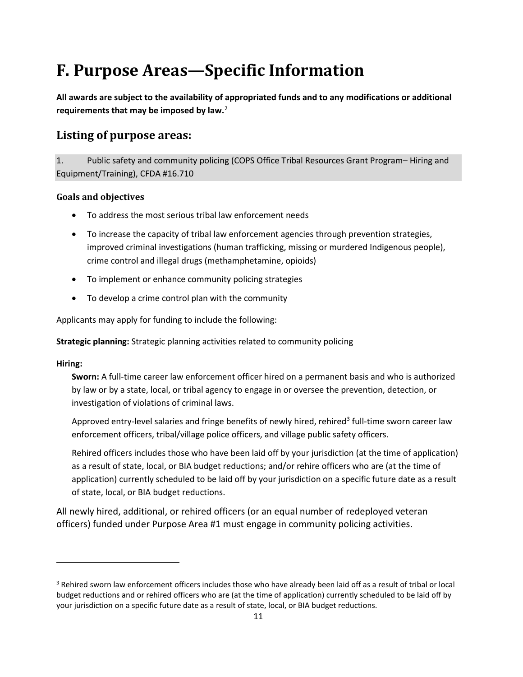# <span id="page-14-0"></span>**F. Purpose Areas—Specific Information**

 **requirements that may be imposed by law.**[2](#page-14-1)  **All awards are subject to the availability of appropriated funds and to any modifications or additional** 

## **Listing of purpose areas:**

 $1.$  Equipment/Training), CFDA #16.710 1. Public safety and community policing (COPS Office Tribal Resources Grant Program– Hiring and

### **Goals and objectives**

- To address the most serious tribal law enforcement needs
- • To increase the capacity of tribal law enforcement agencies through prevention strategies, improved criminal investigations (human trafficking, missing or murdered Indigenous people), crime control and illegal drugs (methamphetamine, opioids)
- To implement or enhance community policing strategies
- To develop a crime control plan with the community

Applicants may apply for funding to include the following:

**Strategic planning:** Strategic planning activities related to community policing

### **Hiring:**

l

 **Sworn:** A full-time career law enforcement officer hired on a permanent basis and who is authorized by law or by a state, local, or tribal agency to engage in or oversee the prevention, detection, or investigation of violations of criminal laws.

Approved entry-level salaries and fringe benefits of newly hired, rehired<sup>3</sup> full-time sworn career law enforcement officers, tribal/village police officers, and village public safety officers.

 as a result of state, local, or BIA budget reductions; and/or rehire officers who are (at the time of Rehired officers includes those who have been laid off by your jurisdiction (at the time of application) application) currently scheduled to be laid off by your jurisdiction on a specific future date as a result of state, local, or BIA budget reductions.

 All newly hired, additional, or rehired officers (or an equal number of redeployed veteran officers) funded under Purpose Area #1 must engage in community policing activities.

<span id="page-14-2"></span><span id="page-14-1"></span> your jurisdiction on a specific future date as a result of state, local, or BIA budget reductions. 11 <sup>3</sup> Rehired sworn law enforcement officers includes those who have already been laid off as a result of tribal or local budget reductions and or rehired officers who are (at the time of application) currently scheduled to be laid off by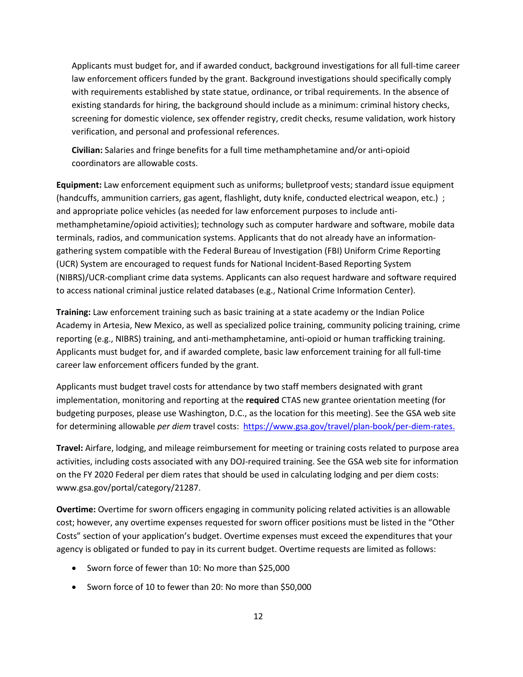with requirements established by state statue, ordinance, or tribal requirements. In the absence of screening for domestic violence, sex offender registry, credit checks, resume validation, work history Applicants must budget for, and if awarded conduct, background investigations for all full-time career law enforcement officers funded by the grant. Background investigations should specifically comply existing standards for hiring, the background should include as a minimum: criminal history checks, verification, and personal and professional references.

 **Civilian:** Salaries and fringe benefits for a full time methamphetamine and/or anti-opioid coordinators are allowable costs.

 **Equipment:** Law enforcement equipment such as uniforms; bulletproof vests; standard issue equipment (handcuffs, ammunition carriers, gas agent, flashlight, duty knife, conducted electrical weapon, etc.) ; (UCR) System are encouraged to request funds for National Incident-Based Reporting System and appropriate police vehicles (as needed for law enforcement purposes to include antimethamphetamine/opioid activities); technology such as computer hardware and software, mobile data terminals, radios, and communication systems. Applicants that do not already have an informationgathering system compatible with the Federal Bureau of Investigation (FBI) Uniform Crime Reporting (NIBRS)/UCR-compliant crime data systems. Applicants can also request hardware and software required to access national criminal justice related databases (e.g., National Crime Information Center).

 Academy in Artesia, New Mexico, as well as specialized police training, community policing training, crime reporting (e.g., NIBRS) training, and anti-methamphetamine, anti-opioid or human trafficking training. Applicants must budget for, and if awarded complete, basic law enforcement training for all full-time **Training:** Law enforcement training such as basic training at a state academy or the Indian Police career law enforcement officers funded by the grant.

 implementation, monitoring and reporting at the **required** CTAS new grantee orientation meeting (for budgeting purposes, please use Washington, D.C., as the location for this meeting). See the GSA web site Applicants must budget travel costs for attendance by two staff members designated with grant for determining allowable *per diem* travel costs[: https://www.gsa.gov/travel/plan-book/per-diem-rates.](http://www.gsa.gov/portal/category/21287.) 

 on the FY 2020 Federal per diem rates that should be used in calculating lodging and per diem costs: **Travel:** Airfare, lodging, and mileage reimbursement for meeting or training costs related to purpose area activities, including costs associated with any DOJ-required training. See the GSA web site for information <www.gsa.gov/portal/category/21287>.

 cost; however, any overtime expenses requested for sworn officer positions must be listed in the "Other Costs" section of your application's budget. Overtime expenses must exceed the expenditures that your agency is obligated or funded to pay in its current budget. Overtime requests are limited as follows: **Overtime:** Overtime for sworn officers engaging in community policing related activities is an allowable

- Sworn force of fewer than 10: No more than \$25,000
- Sworn force of 10 to fewer than 20: No more than \$50,000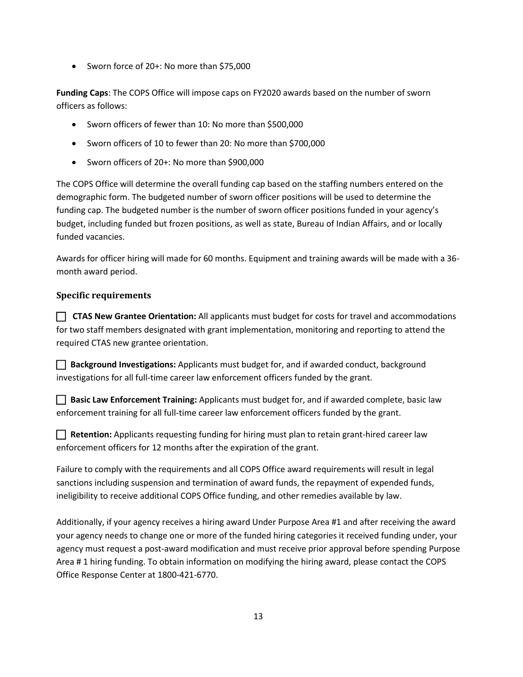• Sworn force of 20+: No more than \$75,000

 **Funding Caps**: The COPS Office will impose caps on FY2020 awards based on the number of sworn officers as follows:

- Sworn officers of fewer than 10: No more than \$500,000
- Sworn officers of 10 to fewer than 20: No more than \$700,000
- Sworn officers of 20+: No more than \$900,000

 The COPS Office will determine the overall funding cap based on the staffing numbers entered on the demographic form. The budgeted number of sworn officer positions will be used to determine the funding cap. The budgeted number is the number of sworn officer positions funded in your agency's budget, including funded but frozen positions, as well as state, Bureau of Indian Affairs, and or locally funded vacancies.

 Awards for officer hiring will made for 60 months. Equipment and training awards will be made with a 36 month award period.

### **Specific requirements**

 **CTAS New Grantee Orientation:** All applicants must budget for costs for travel and accommodations  required CTAS new grantee orientation. for two staff members designated with grant implementation, monitoring and reporting to attend the

 **Background Investigations:** Applicants must budget for, and if awarded conduct, background investigations for all full-time career law enforcement officers funded by the grant.

 **Basic Law Enforcement Training:** Applicants must budget for, and if awarded complete, basic law enforcement training for all full-time career law enforcement officers funded by the grant.

**Retention:** Applicants requesting funding for hiring must plan to retain grant-hired career law enforcement officers for 12 months after the expiration of the grant.

Failure to comply with the requirements and all COPS Office award requirements will result in legal sanctions including suspension and termination of award funds, the repayment of expended funds, ineligibility to receive additional COPS Office funding, and other remedies available by law.

 agency must request a post-award modification and must receive prior approval before spending Purpose Area # 1 hiring funding. To obtain information on modifying the hiring award, please contact the COPS Additionally, if your agency receives a hiring award Under Purpose Area #1 and after receiving the award your agency needs to change one or more of the funded hiring categories it received funding under, your Office Response Center at 1800-421-6770.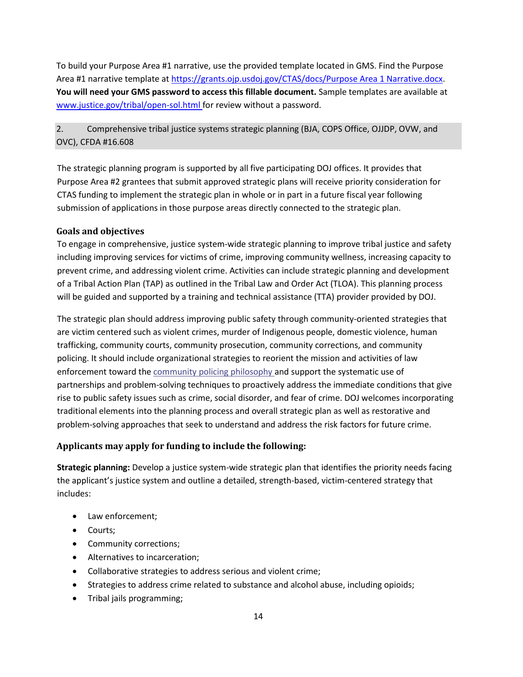To build your Purpose Area #1 narrative, use the provided template located in GMS. Find the Purpose Area #1 narrative template a[t https://grants.ojp.usdoj.gov/CTAS/docs/Purpose Area 1 Narrative.docx.](https://grants.ojp.usdoj.gov/CTAS/docs/Purpose%20Area%201%20Narrative.docx) **You will need your GMS password to access this fillable document.** Sample templates are available at [www.justice.gov/tribal/open-sol.html f](http://www.justice.gov/tribal/open-sol.html)or review without a password.

### 2. Comprehensive tribal justice systems strategic planning (BJA, COPS Office, OJJDP, OVW, and OVC), CFDA #16.608

 submission of applications in those purpose areas directly connected to the strategic plan. The strategic planning program is supported by all five participating DOJ offices. It provides that Purpose Area #2 grantees that submit approved strategic plans will receive priority consideration for CTAS funding to implement the strategic plan in whole or in part in a future fiscal year following

### **Goals and objectives**

 including improving services for victims of crime, improving community wellness, increasing capacity to will be guided and supported by a training and technical assistance (TTA) provider provided by DOJ. To engage in comprehensive, justice system-wide strategic planning to improve tribal justice and safety prevent crime, and addressing violent crime. Activities can include strategic planning and development of a Tribal Action Plan (TAP) as outlined in the Tribal Law and Order Act (TLOA). This planning process

 are victim centered such as violent crimes, murder of Indigenous people, domestic violence, human trafficking, community courts, community prosecution, community corrections, and community enforcement toward th[e community policing philosophy an](https://cops.usdoj.gov/RIC/ric.php?page=detail&id=COPS-P157)d support the systematic use of partnerships and problem-solving techniques to proactively address the immediate conditions that give rise to public safety issues such as crime, social disorder, and fear of crime. DOJ welcomes incorporating problem-solving approaches that seek to understand and address the risk factors for future crime. The strategic plan should address improving public safety through community-oriented strategies that policing. It should include organizational strategies to reorient the mission and activities of law traditional elements into the planning process and overall strategic plan as well as restorative and

### **Applicants may apply for funding to include the following:**

**Strategic planning:** Develop a justice system-wide strategic plan that identifies the priority needs facing the applicant's justice system and outline a detailed, strength-based, victim-centered strategy that includes:

- Law enforcement;
- Courts;
- Community corrections;
- Alternatives to incarceration;
- Collaborative strategies to address serious and violent crime;
- Strategies to address crime related to substance and alcohol abuse, including opioids;
- Tribal jails programming;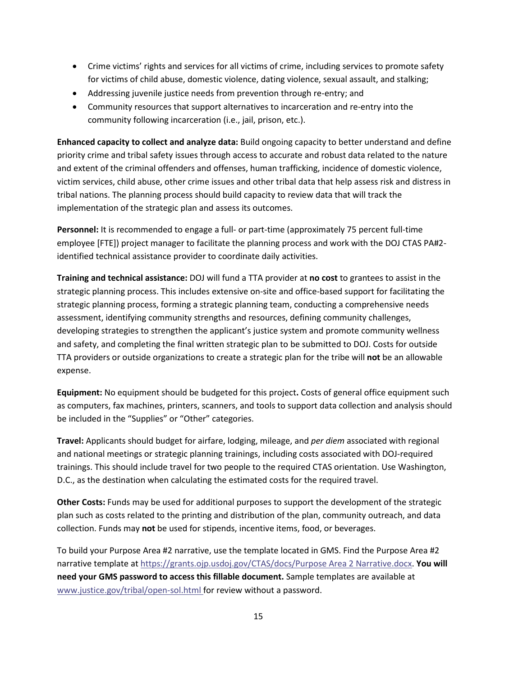- • Crime victims' rights and services for all victims of crime, including services to promote safety for victims of child abuse, domestic violence, dating violence, sexual assault, and stalking;
- Addressing juvenile justice needs from prevention through re-entry; and
- Community resources that support alternatives to incarceration and re-entry into the community following incarceration (i.e., jail, prison, etc.).

 **Enhanced capacity to collect and analyze data:** Build ongoing capacity to better understand and define priority crime and tribal safety issues through access to accurate and robust data related to the nature implementation of the strategic plan and assess its outcomes. and extent of the criminal offenders and offenses, human trafficking, incidence of domestic violence, victim services, child abuse, other crime issues and other tribal data that help assess risk and distress in tribal nations. The planning process should build capacity to review data that will track the

 employee [FTE]) project manager to facilitate the planning process and work with the DOJ CTAS PA#2- **Personnel:** It is recommended to engage a full- or part-time (approximately 75 percent full-time identified technical assistance provider to coordinate daily activities.

**Training and technical assistance:** DOJ will fund a TTA provider at **no cost** to grantees to assist in the strategic planning process. This includes extensive on-site and office-based support for facilitating the strategic planning process, forming a strategic planning team, conducting a comprehensive needs assessment, identifying community strengths and resources, defining community challenges, developing strategies to strengthen the applicant's justice system and promote community wellness and safety, and completing the final written strategic plan to be submitted to DOJ. Costs for outside TTA providers or outside organizations to create a strategic plan for the tribe will **not** be an allowable expense.

 **Equipment:** No equipment should be budgeted for this project**.** Costs of general office equipment such be included in the "Supplies" or "Other" categories. as computers, fax machines, printers, scanners, and tools to support data collection and analysis should

 trainings. This should include travel for two people to the required CTAS orientation. Use Washington, **Travel:** Applicants should budget for airfare, lodging, mileage, and *per diem* associated with regional and national meetings or strategic planning trainings, including costs associated with DOJ-required D.C., as the destination when calculating the estimated costs for the required travel.

 collection. Funds may **not** be used for stipends, incentive items, food, or beverages. **Other Costs:** Funds may be used for additional purposes to support the development of the strategic plan such as costs related to the printing and distribution of the plan, community outreach, and data

To build your Purpose Area #2 narrative, use the template located in GMS. Find the Purpose Area #2 narrative template a[t https://grants.ojp.usdoj.gov/CTAS/docs/Purpose Area 2 Narrative.docx.](https://grants.ojp.usdoj.gov/CTAS/docs/Purpose%20Area%202%20Narrative.docx) **You will need your GMS password to access this fillable document.** Sample templates are available at [www.justice.gov/tribal/open-sol.html fo](http://www.justice.gov/tribal/open-sol.html)r review without a password.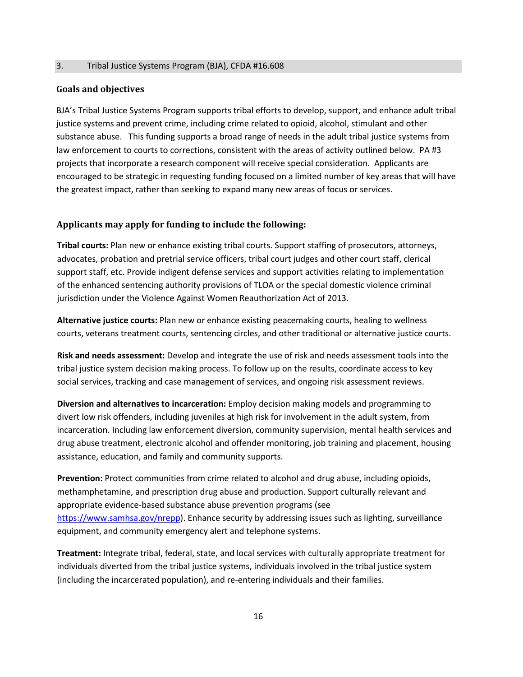#### 3. Tribal Justice Systems Program (BJA), CFDA #16.608

#### **Goals and objectives**

 BJA's Tribal Justice Systems Program supports tribal efforts to develop, support, and enhance adult tribal projects that incorporate a research component will receive special consideration. Applicants are encouraged to be strategic in requesting funding focused on a limited number of key areas that will have the greatest impact, rather than seeking to expand many new areas of focus or services. justice systems and prevent crime, including crime related to opioid, alcohol, stimulant and other substance abuse. This funding supports a broad range of needs in the adult tribal justice systems from law enforcement to courts to corrections, consistent with the areas of activity outlined below. PA #3

#### **Applicants may apply for funding to include the following:**

 of the enhanced sentencing authority provisions of TLOA or the special domestic violence criminal jurisdiction under the Violence Against Women Reauthorization Act of 2013. **Tribal courts:** Plan new or enhance existing tribal courts. Support staffing of prosecutors, attorneys, advocates, probation and pretrial service officers, tribal court judges and other court staff, clerical support staff, etc. Provide indigent defense services and support activities relating to implementation

 **Alternative justice courts:** Plan new or enhance existing peacemaking courts, healing to wellness courts, veterans treatment courts, sentencing circles, and other traditional or alternative justice courts.

 tribal justice system decision making process. To follow up on the results, coordinate access to key social services, tracking and case management of services, and ongoing risk assessment reviews. **Risk and needs assessment:** Develop and integrate the use of risk and needs assessment tools into the

 assistance, education, and family and community supports. **Diversion and alternatives to incarceration:** Employ decision making models and programming to divert low risk offenders, including juveniles at high risk for involvement in the adult system, from incarceration. Including law enforcement diversion, community supervision, mental health services and drug abuse treatment, electronic alcohol and offender monitoring, job training and placement, housing

 appropriate evidence-based substance abuse prevention programs (see equipment, and community emergency alert and telephone systems. **Prevention:** Protect communities from crime related to alcohol and drug abuse, including opioids, methamphetamine, and prescription drug abuse and production. Support culturally relevant and [https://www.samhsa.gov/nrepp\)](https://www.samhsa.gov/nrepp). Enhance security by addressing issues such as lighting, surveillance

 **Treatment:** Integrate tribal, federal, state, and local services with culturally appropriate treatment for individuals diverted from the tribal justice systems, individuals involved in the tribal justice system (including the incarcerated population), and re-entering individuals and their families.<br>16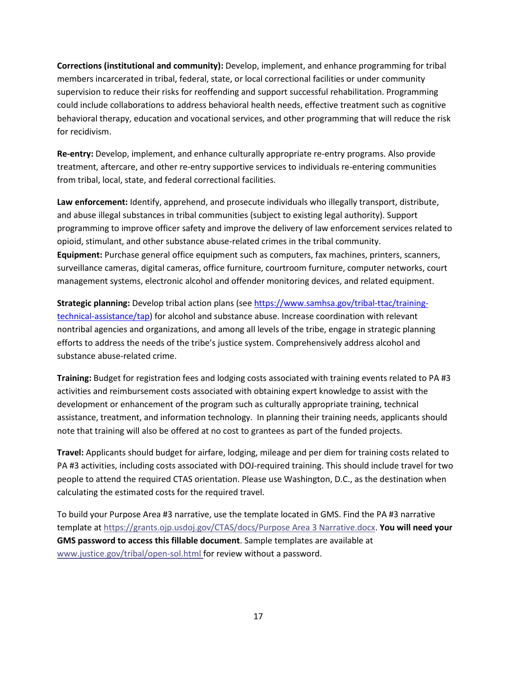members incarcerated in tribal, federal, state, or local correctional facilities or under community for recidivism. **Corrections (institutional and community):** Develop, implement, and enhance programming for tribal supervision to reduce their risks for reoffending and support successful rehabilitation. Programming could include collaborations to address behavioral health needs, effective treatment such as cognitive behavioral therapy, education and vocational services, and other programming that will reduce the risk

 from tribal, local, state, and federal correctional facilities. **Re-entry:** Develop, implement, and enhance culturally appropriate re-entry programs. Also provide treatment, aftercare, and other re-entry supportive services to individuals re-entering communities

 programming to improve officer safety and improve the delivery of law enforcement services related to opioid, stimulant, and other substance abuse-related crimes in the tribal community. management systems, electronic alcohol and offender monitoring devices, and related equipment. **Law enforcement:** Identify, apprehend, and prosecute individuals who illegally transport, distribute, and abuse illegal substances in tribal communities (subject to existing legal authority). Support **Equipment:** Purchase general office equipment such as computers, fax machines, printers, scanners, surveillance cameras, digital cameras, office furniture, courtroom furniture, computer networks, court

 nontribal agencies and organizations, and among all levels of the tribe, engage in strategic planning substance abuse-related crime. **Strategic planning:** Develop tribal action plans (se[e https://www.samhsa.gov/tribal-ttac/training](https://www.samhsa.gov/tribal-ttac/training-technical-assistance/tap)[technical-assistance/tap\)](https://www.samhsa.gov/tribal-ttac/training-technical-assistance/tap) for alcohol and substance abuse. Increase coordination with relevant efforts to address the needs of the tribe's justice system. Comprehensively address alcohol and

 **Training:** Budget for registration fees and lodging costs associated with training events related to PA #3 activities and reimbursement costs associated with obtaining expert knowledge to assist with the development or enhancement of the program such as culturally appropriate training, technical assistance, treatment, and information technology. In planning their training needs, applicants should note that training will also be offered at no cost to grantees as part of the funded projects.

 people to attend the required CTAS orientation. Please use Washington, D.C., as the destination when **Travel:** Applicants should budget for airfare, lodging, mileage and per diem for training costs related to PA #3 activities, including costs associated with DOJ-required training. This should include travel for two calculating the estimated costs for the required travel.

 To build your Purpose Area #3 narrative, use the template located in GMS. Find the PA #3 narrative [www.justice.gov/tribal/open-sol.html fo](http://www.justice.gov/tribal/open-sol.html)r review without a password.<br> 17 template a[t https://grants.ojp.usdoj.gov/CTAS/docs/Purpose Area 3 Narrative.docx.](https://grants.ojp.usdoj.gov/CTAS/docs/Purpose%20Area%203%20Narrative.docx) **You will need your GMS password to access this fillable document**. Sample templates are available at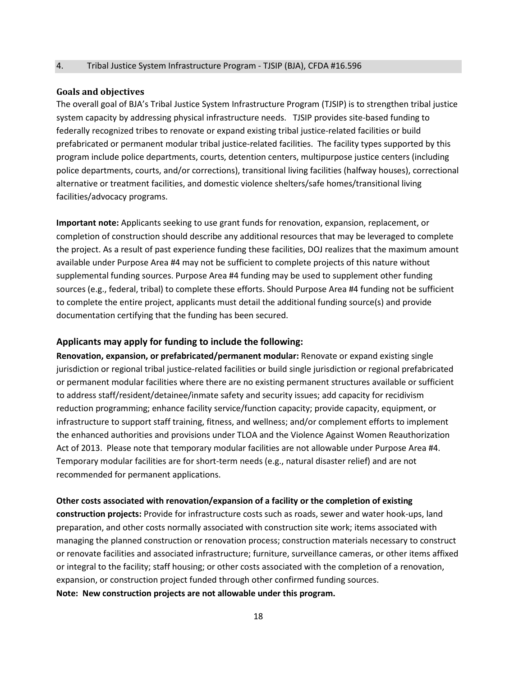#### 4. Tribal Justice System Infrastructure Program - TJSIP (BJA), CFDA #16.596

#### **Goals and objectives**

 The overall goal of BJA's Tribal Justice System Infrastructure Program (TJSIP) is to strengthen tribal justice system capacity by addressing physical infrastructure needs. TJSIP provides site-based funding to federally recognized tribes to renovate or expand existing tribal justice-related facilities or build prefabricated or permanent modular tribal justice-related facilities. The facility types supported by this facilities/advocacy programs. program include police departments, courts, detention centers, multipurpose justice centers (including police departments, courts, and/or corrections), transitional living facilities (halfway houses), correctional alternative or treatment facilities, and domestic violence shelters/safe homes/transitional living

 completion of construction should describe any additional resources that may be leveraged to complete to complete the entire project, applicants must detail the additional funding source(s) and provide **Important note:** Applicants seeking to use grant funds for renovation, expansion, replacement, or the project. As a result of past experience funding these facilities, DOJ realizes that the maximum amount available under Purpose Area #4 may not be sufficient to complete projects of this nature without supplemental funding sources. Purpose Area #4 funding may be used to supplement other funding sources (e.g., federal, tribal) to complete these efforts. Should Purpose Area #4 funding not be sufficient documentation certifying that the funding has been secured.

#### **Applicants may apply for funding to include the following:**

 reduction programming; enhance facility service/function capacity; provide capacity, equipment, or infrastructure to support staff training, fitness, and wellness; and/or complement efforts to implement **Renovation, expansion, or prefabricated/permanent modular:** Renovate or expand existing single jurisdiction or regional tribal justice-related facilities or build single jurisdiction or regional prefabricated or permanent modular facilities where there are no existing permanent structures available or sufficient to address staff/resident/detainee/inmate safety and security issues; add capacity for recidivism the enhanced authorities and provisions under TLOA and the Violence Against Women Reauthorization Act of 2013. Please note that temporary modular facilities are not allowable under Purpose Area #4. Temporary modular facilities are for short-term needs (e.g., natural disaster relief) and are not recommended for permanent applications.

#### **Other costs associated with renovation/expansion of a facility or the completion of existing**

 preparation, and other costs normally associated with construction site work; items associated with or integral to the facility; staff housing; or other costs associated with the completion of a renovation, **construction projects:** Provide for infrastructure costs such as roads, sewer and water hook-ups, land managing the planned construction or renovation process; construction materials necessary to construct or renovate facilities and associated infrastructure; furniture, surveillance cameras, or other items affixed expansion, or construction project funded through other confirmed funding sources. **Note: New construction projects are not allowable under this program.**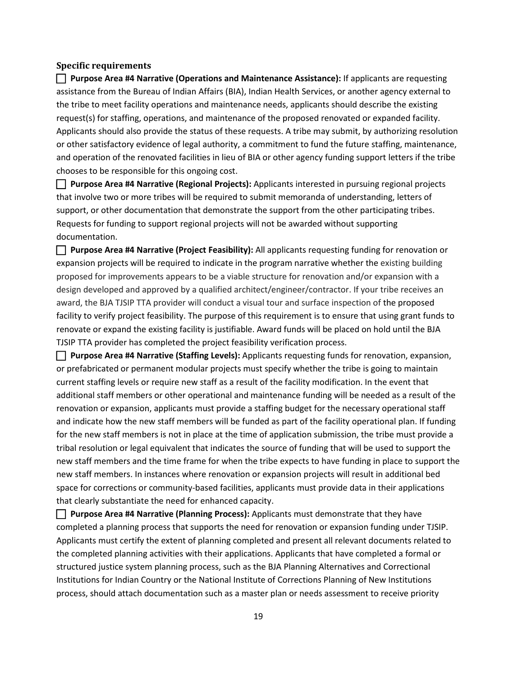#### **Specific requirements**

 the tribe to meet facility operations and maintenance needs, applicants should describe the existing request(s) for staffing, operations, and maintenance of the proposed renovated or expanded facility. Applicants should also provide the status of these requests. A tribe may submit, by authorizing resolution **Purpose Area #4 Narrative (Operations and Maintenance Assistance):** If applicants are requesting assistance from the Bureau of Indian Affairs (BIA), Indian Health Services, or another agency external to or other satisfactory evidence of legal authority, a commitment to fund the future staffing, maintenance, and operation of the renovated facilities in lieu of BIA or other agency funding support letters if the tribe chooses to be responsible for this ongoing cost.

 that involve two or more tribes will be required to submit memoranda of understanding, letters of support, or other documentation that demonstrate the support from the other participating tribes. **Purpose Area #4 Narrative (Regional Projects):** Applicants interested in pursuing regional projects Requests for funding to support regional projects will not be awarded without supporting documentation.

 expansion projects will be required to indicate in the program narrative whether the existing building **Purpose Area #4 Narrative (Project Feasibility):** All applicants requesting funding for renovation or proposed for improvements appears to be a viable structure for renovation and/or expansion with a design developed and approved by a qualified architect/engineer/contractor. If your tribe receives an award, the BJA TJSIP TTA provider will conduct a visual tour and surface inspection of the proposed facility to verify project feasibility. The purpose of this requirement is to ensure that using grant funds to renovate or expand the existing facility is justifiable. Award funds will be placed on hold until the BJA TJSIP TTA provider has completed the project feasibility verification process.

 or prefabricated or permanent modular projects must specify whether the tribe is going to maintain additional staff members or other operational and maintenance funding will be needed as a result of the new staff members and the time frame for when the tribe expects to have funding in place to support the **Purpose Area #4 Narrative (Staffing Levels):** Applicants requesting funds for renovation, expansion, current staffing levels or require new staff as a result of the facility modification. In the event that renovation or expansion, applicants must provide a staffing budget for the necessary operational staff and indicate how the new staff members will be funded as part of the facility operational plan. If funding for the new staff members is not in place at the time of application submission, the tribe must provide a tribal resolution or legal equivalent that indicates the source of funding that will be used to support the new staff members. In instances where renovation or expansion projects will result in additional bed space for corrections or community-based facilities, applicants must provide data in their applications that clearly substantiate the need for enhanced capacity.

 Applicants must certify the extent of planning completed and present all relevant documents related to structured justice system planning process, such as the BJA Planning Alternatives and Correctional **Purpose Area #4 Narrative (Planning Process):** Applicants must demonstrate that they have completed a planning process that supports the need for renovation or expansion funding under TJSIP. the completed planning activities with their applications. Applicants that have completed a formal or Institutions for Indian Country or the National Institute of Corrections Planning of New Institutions process, should attach documentation such as a master plan or needs assessment to receive priority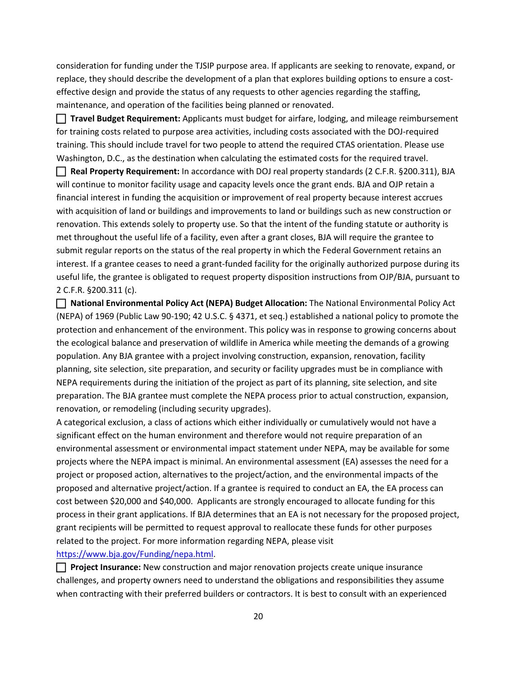replace, they should describe the development of a plan that explores building options to ensure a costconsideration for funding under the TJSIP purpose area. If applicants are seeking to renovate, expand, or effective design and provide the status of any requests to other agencies regarding the staffing, maintenance, and operation of the facilities being planned or renovated.

 Washington, D.C., as the destination when calculating the estimated costs for the required travel. **Travel Budget Requirement:** Applicants must budget for airfare, lodging, and mileage reimbursement for training costs related to purpose area activities, including costs associated with the DOJ-required training. This should include travel for two people to attend the required CTAS orientation. Please use

 with acquisition of land or buildings and improvements to land or buildings such as new construction or met throughout the useful life of a facility, even after a grant closes, BJA will require the grantee to useful life, the grantee is obligated to request property disposition instructions from OJP/BJA, pursuant to **Real Property Requirement:** In accordance with DOJ real property standards (2 C.F.R. §200.311), BJA will continue to monitor facility usage and capacity levels once the grant ends. BJA and OJP retain a financial interest in funding the acquisition or improvement of real property because interest accrues renovation. This extends solely to property use. So that the intent of the funding statute or authority is submit regular reports on the status of the real property in which the Federal Government retains an interest. If a grantee ceases to need a grant-funded facility for the originally authorized purpose during its 2 C.F.R. §200.311 (c).

 (NEPA) of 1969 (Public Law 90-190; 42 U.S.C. § 4371, et seq.) established a national policy to promote the protection and enhancement of the environment. This policy was in response to growing concerns about population. Any BJA grantee with a project involving construction, expansion, renovation, facility preparation. The BJA grantee must complete the NEPA process prior to actual construction, expansion, **National Environmental Policy Act (NEPA) Budget Allocation:** The National Environmental Policy Act the ecological balance and preservation of wildlife in America while meeting the demands of a growing planning, site selection, site preparation, and security or facility upgrades must be in compliance with NEPA requirements during the initiation of the project as part of its planning, site selection, and site renovation, or remodeling (including security upgrades).

 significant effect on the human environment and therefore would not require preparation of an projects where the NEPA impact is minimal. An environmental assessment (EA) assesses the need for a proposed and alternative project/action. If a grantee is required to conduct an EA, the EA process can cost between \$20,000 and \$40,000. Applicants are strongly encouraged to allocate funding for this related to the project. For more information regarding NEPA, please visit A categorical exclusion, a class of actions which either individually or cumulatively would not have a environmental assessment or environmental impact statement under NEPA, may be available for some project or proposed action, alternatives to the project/action, and the environmental impacts of the process in their grant applications. If BJA determines that an EA is not necessary for the proposed project, grant recipients will be permitted to request approval to reallocate these funds for other purposes https://www.bja.gov[/Funding/](https://www.bja.gov/Funding/nepa.html)nepa.html.

 when contracting with their preferred builders or contractors. It is best to consult with an experienced **Project Insurance:** New construction and major renovation projects create unique insurance challenges, and property owners need to understand the obligations and responsibilities they assume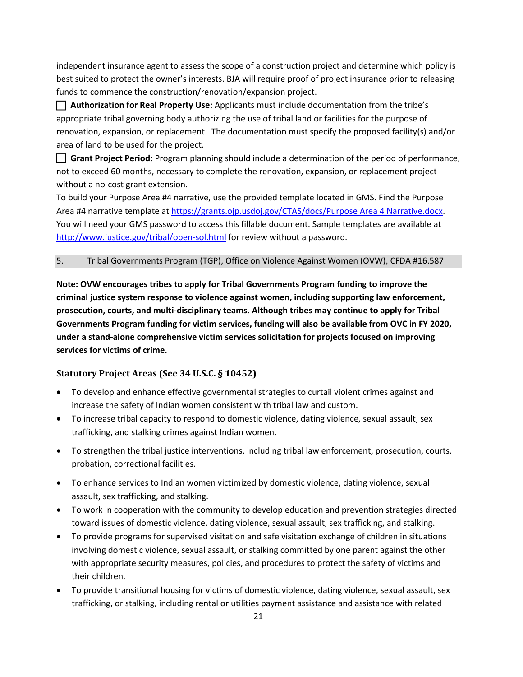independent insurance agent to assess the scope of a construction project and determine which policy is funds to commence the construction/renovation/expansion project. best suited to protect the owner's interests. BJA will require proof of project insurance prior to releasing

 **Authorization for Real Property Use:** Applicants must include documentation from the tribe's appropriate tribal governing body authorizing the use of tribal land or facilities for the purpose of renovation, expansion, or replacement. The documentation must specify the proposed facility(s) and/or area of land to be used for the project.

without a no-cost grant extension. **Grant Project Period:** Program planning should include a determination of the period of performance, not to exceed 60 months, necessary to complete the renovation, expansion, or replacement project

without a no-cost grant extension.<br>To build your Purpose Area #4 narrative, use the provided template located in GMS. Find the Purpose Area #4 narrative template a[t https://grants.ojp.usdoj.gov/CTAS/docs/Purpose Area 4 Narrative.docx.](https://grants.ojp.usdoj.gov/CTAS/docs/Purpose%20Area%204%20Narrative.docx) http://www.justice.gov/tribal/open-sol.html for review without a password. You will need your GMS password to access this fillable document. Sample templates are available at

#### 5. Tribal Governments Program (TGP), Office on Violence Against Women (OVW), CFDA #16.587

 **criminal justice system response to violence against women, including supporting law enforcement, prosecution, courts, and multi-disciplinary teams. Although tribes may continue to apply for Tribal Governments Program funding for victim services, funding will also be available from OVC in FY 2020, services for victims of crime. Note: OVW encourages tribes to apply for Tribal Governments Program funding to improve the under a stand-alone comprehensive victim services solicitation for projects focused on improving** 

### **Statutory Project Areas (See 34 U.S.C. § 10452)**

- increase the safety of Indian women consistent with tribal law and custom. • To develop and enhance effective governmental strategies to curtail violent crimes against and
- To increase tribal capacity to respond to domestic violence, dating violence, sexual assault, sex trafficking, and stalking crimes against Indian women.
- • To strengthen the tribal justice interventions, including tribal law enforcement, prosecution, courts, probation, correctional facilities.
- To enhance services to Indian women victimized by domestic violence, dating violence, sexual assault, sex trafficking, and stalking.
- toward issues of domestic violence, dating violence, sexual assault, sex trafficking, and stalking. • To work in cooperation with the community to develop education and prevention strategies directed
- with appropriate security measures, policies, and procedures to protect the safety of victims and • To provide programs for supervised visitation and safe visitation exchange of children in situations involving domestic violence, sexual assault, or stalking committed by one parent against the other their children.
- To provide transitional housing for victims of domestic violence, dating violence, sexual assault, sex trafficking, or stalking, including rental or utilities payment assistance and assistance with related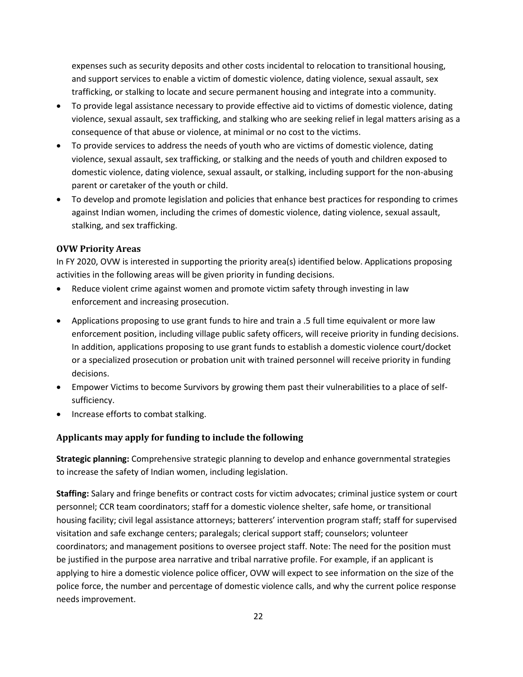and support services to enable a victim of domestic violence, dating violence, sexual assault, sex expenses such as security deposits and other costs incidental to relocation to transitional housing, trafficking, or stalking to locate and secure permanent housing and integrate into a community.

- consequence of that abuse or violence, at minimal or no cost to the victims. • To provide legal assistance necessary to provide effective aid to victims of domestic violence, dating violence, sexual assault, sex trafficking, and stalking who are seeking relief in legal matters arising as a
- • To provide services to address the needs of youth who are victims of domestic violence, dating parent or caretaker of the youth or child. violence, sexual assault, sex trafficking, or stalking and the needs of youth and children exposed to domestic violence, dating violence, sexual assault, or stalking, including support for the non-abusing
- • To develop and promote legislation and policies that enhance best practices for responding to crimes against Indian women, including the crimes of domestic violence, dating violence, sexual assault, stalking, and sex trafficking.

#### **OVW Priority Areas**

In FY 2020, OVW is interested in supporting the priority area(s) identified below. Applications proposing activities in the following areas will be given priority in funding decisions.

- Reduce violent crime against women and promote victim safety through investing in law enforcement and increasing prosecution.
- In addition, applications proposing to use grant funds to establish a domestic violence court/docket • Applications proposing to use grant funds to hire and train a .5 full time equivalent or more law enforcement position, including village public safety officers, will receive priority in funding decisions. or a specialized prosecution or probation unit with trained personnel will receive priority in funding decisions.
- Empower Victims to become Survivors by growing them past their vulnerabilities to a place of selfsufficiency.
- Increase efforts to combat stalking.

### **Applicants may apply for funding to include the following**

 to increase the safety of Indian women, including legislation. **Strategic planning:** Comprehensive strategic planning to develop and enhance governmental strategies

 **Staffing:** Salary and fringe benefits or contract costs for victim advocates; criminal justice system or court coordinators; and management positions to oversee project staff. Note: The need for the position must be justified in the purpose area narrative and tribal narrative profile. For example, if an applicant is personnel; CCR team coordinators; staff for a domestic violence shelter, safe home, or transitional housing facility; civil legal assistance attorneys; batterers' intervention program staff; staff for supervised visitation and safe exchange centers; paralegals; clerical support staff; counselors; volunteer applying to hire a domestic violence police officer, OVW will expect to see information on the size of the police force, the number and percentage of domestic violence calls, and why the current police response needs improvement.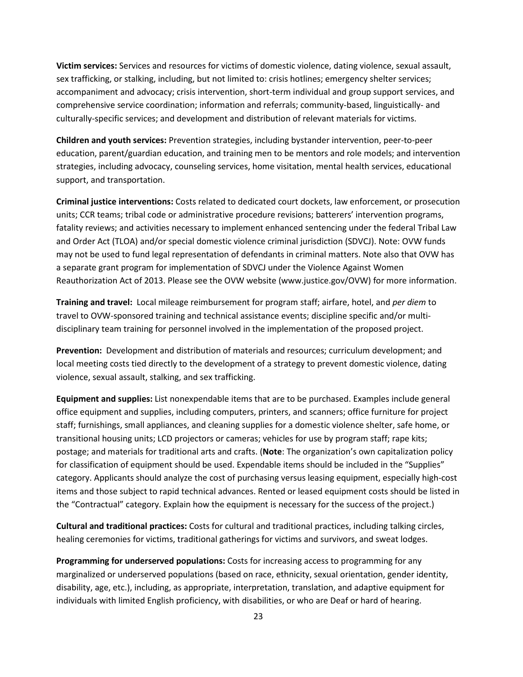**Victim services:** Services and resources for victims of domestic violence, dating violence, sexual assault, sex trafficking, or stalking, including, but not limited to: crisis hotlines; emergency shelter services; accompaniment and advocacy; crisis intervention, short-term individual and group support services, and comprehensive service coordination; information and referrals; community-based, linguistically- and culturally-specific services; and development and distribution of relevant materials for victims.

 education, parent/guardian education, and training men to be mentors and role models; and intervention **Children and youth services:** Prevention strategies, including bystander intervention, peer-to-peer strategies, including advocacy, counseling services, home visitation, mental health services, educational support, and transportation.

 may not be used to fund legal representation of defendants in criminal matters. Note also that OVW has **Criminal justice interventions:** Costs related to dedicated court dockets, law enforcement, or prosecution units; CCR teams; tribal code or administrative procedure revisions; batterers' intervention programs, fatality reviews; and activities necessary to implement enhanced sentencing under the federal Tribal Law and Order Act (TLOA) and/or special domestic violence criminal jurisdiction (SDVCJ). Note: OVW funds a separate grant program for implementation of SDVCJ under the Violence Against Women Reauthorization Act of 2013. Please see the OVW website (<www.justice.gov/OVW>) for more information.

**Training and travel:** Local mileage reimbursement for program staff; airfare, hotel, and *per diem* to travel to OVW-sponsored training and technical assistance events; discipline specific and/or multidisciplinary team training for personnel involved in the implementation of the proposed project.

 **Prevention:** Development and distribution of materials and resources; curriculum development; and violence, sexual assault, stalking, and sex trafficking. local meeting costs tied directly to the development of a strategy to prevent domestic violence, dating

 staff; furnishings, small appliances, and cleaning supplies for a domestic violence shelter, safe home, or for classification of equipment should be used. Expendable items should be included in the "Supplies" items and those subject to rapid technical advances. Rented or leased equipment costs should be listed in **Equipment and supplies:** List nonexpendable items that are to be purchased. Examples include general office equipment and supplies, including computers, printers, and scanners; office furniture for project transitional housing units; LCD projectors or cameras; vehicles for use by program staff; rape kits; postage; and materials for traditional arts and crafts. (**Note**: The organization's own capitalization policy category. Applicants should analyze the cost of purchasing versus leasing equipment, especially high-cost the "Contractual" category. Explain how the equipment is necessary for the success of the project.)

**Cultural and traditional practices:** Costs for cultural and traditional practices, including talking circles, healing ceremonies for victims, traditional gatherings for victims and survivors, and sweat lodges.

 marginalized or underserved populations (based on race, ethnicity, sexual orientation, gender identity, individuals with limited English proficiency, with disabilities, or who are Deaf or hard of hearing. **Programming for underserved populations:** Costs for increasing access to programming for any disability, age, etc.), including, as appropriate, interpretation, translation, and adaptive equipment for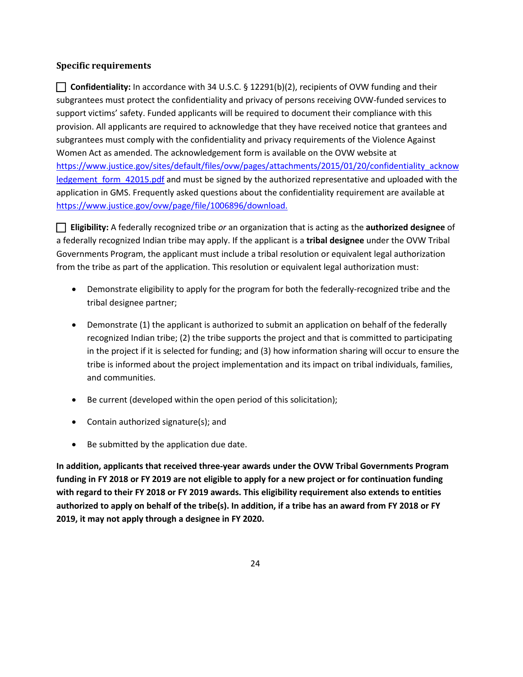#### **Specific requirements**

 support victims' safety. Funded applicants will be required to document their compliance with this provision. All applicants are required to acknowledge that they have received notice that grantees and subgrantees must comply with the confidentiality and privacy requirements of the Violence Against **Confidentiality:** In accordance with 34 U.S.C. § 12291(b)(2), recipients of OVW funding and their subgrantees must protect the confidentiality and privacy of persons receiving OVW-funded services to Women Act as amended. The acknowledgement form is available on the OVW website at [https://www.justice.gov/sites/default/files/ovw/pages/attachments/2015/01/20/confidentiality\\_acknow](https://www.justice.gov/sites/default/files/ovw/pages/attachments/2015/01/20/confidentiality_acknowledgement_form_42015.pdf)  ledgement form 42015.pdf and must be signed by the authorized representative and uploaded with the application in GMS. Frequently asked questions about the confidentiality requirement are available at [https://www.justice.gov/ovw/page/file/1006896/download.](https://www.justice.gov/ovw/page/file/1006896/download)

 **Eligibility:** A federally recognized tribe *or* an organization that is acting as the **authorized designee** of a federally recognized Indian tribe may apply. If the applicant is a **tribal designee** under the OVW Tribal Governments Program, the applicant must include a tribal resolution or equivalent legal authorization from the tribe as part of the application. This resolution or equivalent legal authorization must:

- tribal designee partner; • Demonstrate eligibility to apply for the program for both the federally-recognized tribe and the
- recognized Indian tribe; (2) the tribe supports the project and that is committed to participating in the project if it is selected for funding; and (3) how information sharing will occur to ensure the • Demonstrate (1) the applicant is authorized to submit an application on behalf of the federally tribe is informed about the project implementation and its impact on tribal individuals, families, and communities.
- Be current (developed within the open period of this solicitation);
- Contain authorized signature(s); and
- Be submitted by the application due date.

 **authorized to apply on behalf of the tribe(s). In addition, if a tribe has an award from FY 2018 or FY 2019, it may not apply through a designee in FY 2020. In addition, applicants that received three-year awards under the OVW Tribal Governments Program funding in FY 2018 or FY 2019 are not eligible to apply for a new project or for continuation funding with regard to their FY 2018 or FY 2019 awards. This eligibility requirement also extends to entities**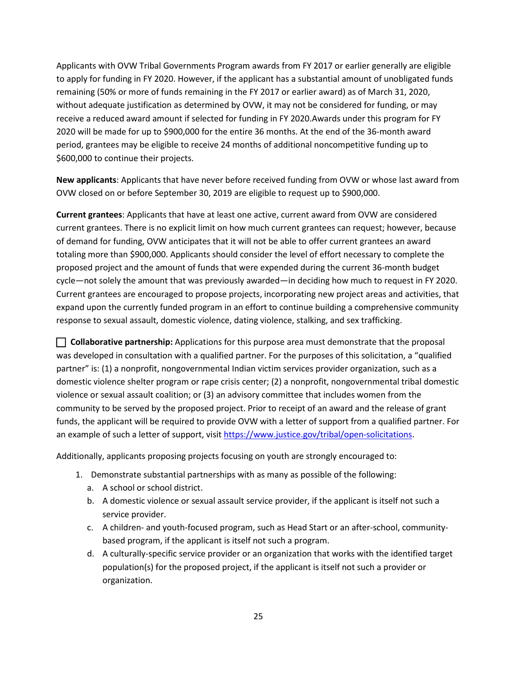Applicants with OVW Tribal Governments Program awards from FY 2017 or earlier generally are eligible remaining (50% or more of funds remaining in the FY 2017 or earlier award) as of March 31, 2020, period, grantees may be eligible to receive 24 months of additional noncompetitive funding up to \$600,000 to continue their projects. to apply for funding in FY 2020. However, if the applicant has a substantial amount of unobligated funds without adequate justification as determined by OVW, it may not be considered for funding, or may receive a reduced award amount if selected for funding in FY 2020.Awards under this program for FY 2020 will be made for up to \$900,000 for the entire 36 months. At the end of the 36-month award

**New applicants**: Applicants that have never before received funding from OVW or whose last award from OVW closed on or before September 30, 2019 are eligible to request up to \$900,000.

 **Current grantees**: Applicants that have at least one active, current award from OVW are considered current grantees. There is no explicit limit on how much current grantees can request; however, because proposed project and the amount of funds that were expended during the current 36-month budget Current grantees are encouraged to propose projects, incorporating new project areas and activities, that expand upon the currently funded program in an effort to continue building a comprehensive community of demand for funding, OVW anticipates that it will not be able to offer current grantees an award totaling more than \$900,000. Applicants should consider the level of effort necessary to complete the cycle—not solely the amount that was previously awarded—in deciding how much to request in FY 2020. response to sexual assault, domestic violence, dating violence, stalking, and sex trafficking.

 was developed in consultation with a qualified partner. For the purposes of this solicitation, a "qualified an example of such a letter of support, visit [https://www.justice.gov/tribal/open-solicitations.](https://www.justice.gov/tribal/open-solicitations) **Collaborative partnership:** Applications for this purpose area must demonstrate that the proposal partner" is: (1) a nonprofit, nongovernmental Indian victim services provider organization, such as a domestic violence shelter program or rape crisis center; (2) a nonprofit, nongovernmental tribal domestic violence or sexual assault coalition; or (3) an advisory committee that includes women from the community to be served by the proposed project. Prior to receipt of an award and the release of grant funds, the applicant will be required to provide OVW with a letter of support from a qualified partner. For

Additionally, applicants proposing projects focusing on youth are strongly encouraged to:

- 1. Demonstrate substantial partnerships with as many as possible of the following:
	- a. A school or school district.
	- b. A domestic violence or sexual assault service provider, if the applicant is itself not such a service provider.
	- c. A children- and youth-focused program, such as Head Start or an after-school, communitybased program, if the applicant is itself not such a program.
	- organization. d. A culturally-specific service provider or an organization that works with the identified target population(s) for the proposed project, if the applicant is itself not such a provider or organization.<br>25<br>25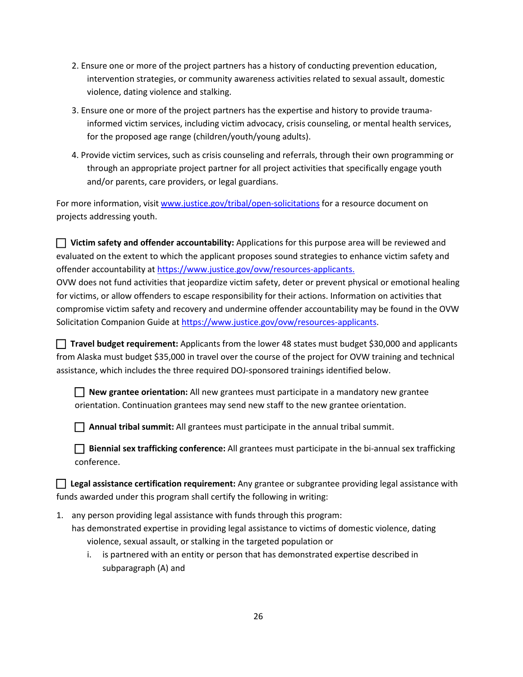- violence, dating violence and stalking. 2. Ensure one or more of the project partners has a history of conducting prevention education, intervention strategies, or community awareness activities related to sexual assault, domestic
- for the proposed age range (children/youth/young adults). 3. Ensure one or more of the project partners has the expertise and history to provide traumainformed victim services, including victim advocacy, crisis counseling, or mental health services,
- 4. Provide victim services, such as crisis counseling and referrals, through their own programming or through an appropriate project partner for all project activities that specifically engage youth and/or parents, care providers, or legal guardians.

For more information, visi[t www.justice.gov/tribal/open-solicitations](http://www.justice.gov/tribal/open-solicitations) for a resource document on projects addressing youth.

 **Victim safety and offender accountability:** Applications for this purpose area will be reviewed and evaluated on the extent to which the applicant proposes sound strategies to enhance victim safety and offender accountability at [https://www.justice.gov/ovw/resources-applicants.](https://www.justice.gov/ovw/resources-applicants)

 compromise victim safety and recovery and undermine offender accountability may be found in the OVW OVW does not fund activities that jeopardize victim safety, deter or prevent physical or emotional healing for victims, or allow offenders to escape responsibility for their actions. Information on activities that Solicitation Companion Guide a[t https://www.justice.gov/ovw/resources-applicants.](https://www.justice.gov/ovw/resources-applicants)

 **Travel budget requirement:** Applicants from the lower 48 states must budget \$30,000 and applicants from Alaska must budget \$35,000 in travel over the course of the project for OVW training and technical assistance, which includes the three required DOJ-sponsored trainings identified below.

 **New grantee orientation:** All new grantees must participate in a mandatory new grantee orientation. Continuation grantees may send new staff to the new grantee orientation.

**Annual tribal summit:** All grantees must participate in the annual tribal summit.

 **Biennial sex trafficking conference:** All grantees must participate in the bi-annual sex trafficking conference.

 **Legal assistance certification requirement:** Any grantee or subgrantee providing legal assistance with funds awarded under this program shall certify the following in writing:

- has demonstrated expertise in providing legal assistance to victims of domestic violence, dating 1. any person providing legal assistance with funds through this program: violence, sexual assault, or stalking in the targeted population or
	- i. is partnered with an entity or person that has demonstrated expertise described in subparagraph (A) and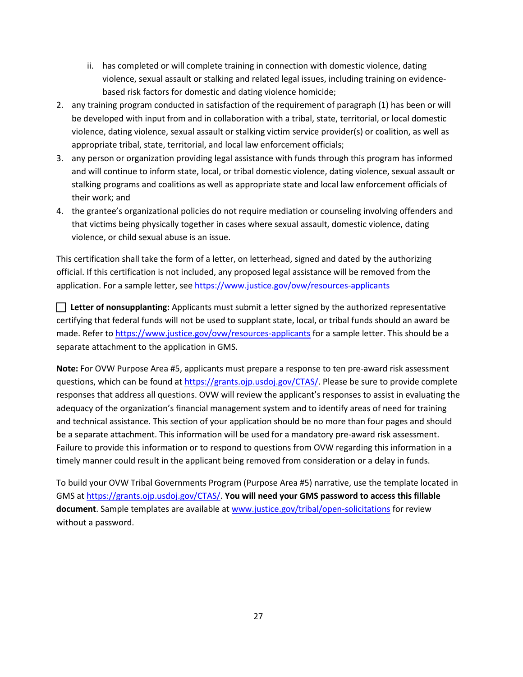- ii. has completed or will complete training in connection with domestic violence, dating violence, sexual assault or stalking and related legal issues, including training on evidencebased risk factors for domestic and dating violence homicide;
- 2. any training program conducted in satisfaction of the requirement of paragraph (1) has been or will violence, dating violence, sexual assault or stalking victim service provider(s) or coalition, as well as appropriate tribal, state, territorial, and local law enforcement officials; be developed with input from and in collaboration with a tribal, state, territorial, or local domestic
- their work; and 3. any person or organization providing legal assistance with funds through this program has informed and will continue to inform state, local, or tribal domestic violence, dating violence, sexual assault or stalking programs and coalitions as well as appropriate state and local law enforcement officials of
- 4. the grantee's organizational policies do not require mediation or counseling involving offenders and that victims being physically together in cases where sexual assault, domestic violence, dating violence, or child sexual abuse is an issue.

application. For a sample letter, see https://www.justice.gov/ovw/resources-applicants This certification shall take the form of a letter, on letterhead, signed and dated by the authorizing official. If this certification is not included, any proposed legal assistance will be removed from the

 **Letter of nonsupplanting:** Applicants must submit a letter signed by the authorized representative certifying that federal funds will not be used to supplant state, local, or tribal funds should an award be made. Refer to<https://www.justice.gov/ovw/resources-applicants>for a sample letter. This should be a separate attachment to the application in GMS.

questions, which can be found at [https://grants.ojp.usdoj.gov/CTAS/.](https://grants.ojp.usdoj.gov/CTAS/) Please be sure to provide complete responses that address all questions. OVW will review the applicant's responses to assist in evaluating the Failure to provide this information or to respond to questions from OVW regarding this information in a **Note:** For OVW Purpose Area #5, applicants must prepare a response to ten pre-award risk assessment adequacy of the organization's financial management system and to identify areas of need for training and technical assistance. This section of your application should be no more than four pages and should be a separate attachment. This information will be used for a mandatory pre-award risk assessment. timely manner could result in the applicant being removed from consideration or a delay in funds.

To build your OVW Tribal Governments Program (Purpose Area #5) narrative, use the template located in GMS at [https://grants.ojp.usdoj.gov/CTAS/.](https://grants.ojp.usdoj.gov/CTAS/) **You will need your GMS password to access this fillable document**. Sample templates are available at [www.justice.gov/tribal/open-solicitations](http://www.justice.gov/tribal/open-solicitations) for review without a password.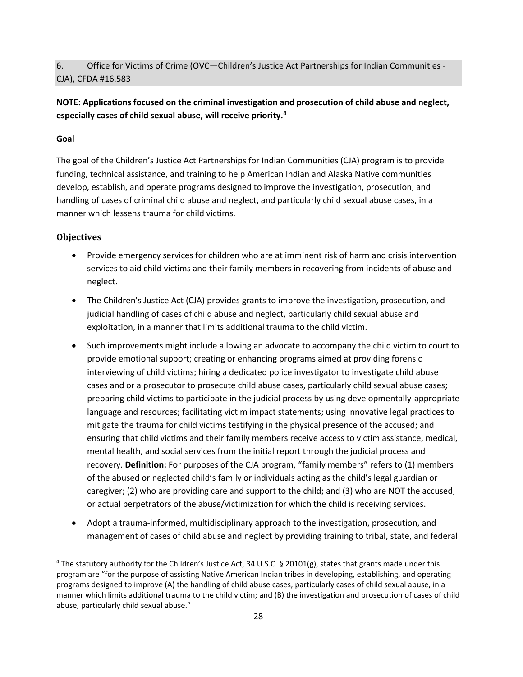### 6. Office for Victims of Crime (OVC—Children's Justice Act Partnerships for Indian Communities - CJA), CFDA #16.583

## **NOTE: Applications focused on the criminal investigation and prosecution of child abuse and neglect, especially cases of child sexual abuse, will receive priority.[4](#page-31-0)**

#### **Goal**

 develop, establish, and operate programs designed to improve the investigation, prosecution, and The goal of the Children's Justice Act Partnerships for Indian Communities (CJA) program is to provide funding, technical assistance, and training to help American Indian and Alaska Native communities handling of cases of criminal child abuse and neglect, and particularly child sexual abuse cases, in a manner which lessens trauma for child victims.

### **Objectives**

**.** 

- • Provide emergency services for children who are at imminent risk of harm and crisis intervention services to aid child victims and their family members in recovering from incidents of abuse and neglect.
- exploitation, in a manner that limits additional trauma to the child victim. • The Children's Justice Act (CJA) provides grants to improve the investigation, prosecution, and judicial handling of cases of child abuse and neglect, particularly child sexual abuse and
- • Such improvements might include allowing an advocate to accompany the child victim to court to interviewing of child victims; hiring a dedicated police investigator to investigate child abuse preparing child victims to participate in the judicial process by using developmentally-appropriate ensuring that child victims and their family members receive access to victim assistance, medical, recovery. **Definition:** For purposes of the CJA program, "family members" refers to (1) members provide emotional support; creating or enhancing programs aimed at providing forensic cases and or a prosecutor to prosecute child abuse cases, particularly child sexual abuse cases; language and resources; facilitating victim impact statements; using innovative legal practices to mitigate the trauma for child victims testifying in the physical presence of the accused; and mental health, and social services from the initial report through the judicial process and of the abused or neglected child's family or individuals acting as the child's legal guardian or caregiver; (2) who are providing care and support to the child; and (3) who are NOT the accused, or actual perpetrators of the abuse/victimization for which the child is receiving services.
- • Adopt a trauma-informed, multidisciplinary approach to the investigation, prosecution, and management of cases of child abuse and neglect by providing training to tribal, state, and federal

<span id="page-31-0"></span><sup>&</sup>lt;sup>4</sup> The statutory authority for the Children's Justice Act, 34 U.S.C. § 20101(g), states that grants made under this program are "for the purpose of assisting Native American Indian tribes in developing, establishing, and operating programs designed to improve (A) the handling of child abuse cases, particularly cases of child sexual abuse, in a manner which limits additional trauma to the child victim; and (B) the investigation and prosecution of cases of child abuse, particularly child sexual abuse."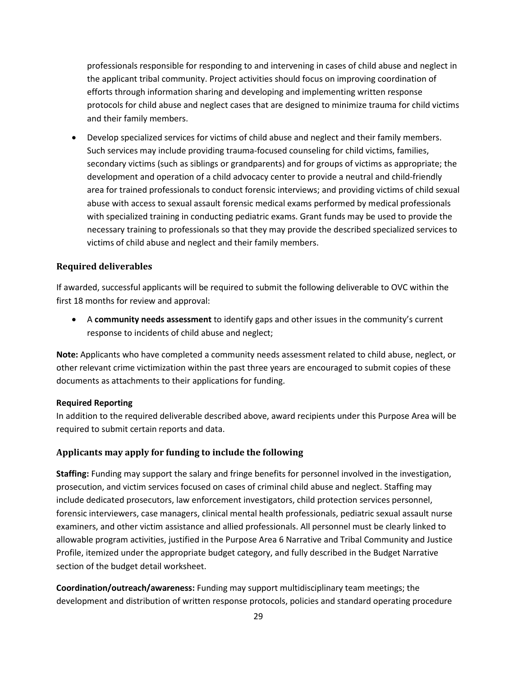professionals responsible for responding to and intervening in cases of child abuse and neglect in the applicant tribal community. Project activities should focus on improving coordination of efforts through information sharing and developing and implementing written response protocols for child abuse and neglect cases that are designed to minimize trauma for child victims and their family members.

 • Develop specialized services for victims of child abuse and neglect and their family members. Such services may include providing trauma-focused counseling for child victims, families, secondary victims (such as siblings or grandparents) and for groups of victims as appropriate; the area for trained professionals to conduct forensic interviews; and providing victims of child sexual abuse with access to sexual assault forensic medical exams performed by medical professionals necessary training to professionals so that they may provide the described specialized services to development and operation of a child advocacy center to provide a neutral and child-friendly with specialized training in conducting pediatric exams. Grant funds may be used to provide the victims of child abuse and neglect and their family members.

#### **Required deliverables**

 If awarded, successful applicants will be required to submit the following deliverable to OVC within the first 18 months for review and approval:

• A **community needs assessment** to identify gaps and other issues in the community's current response to incidents of child abuse and neglect;

 **Note:** Applicants who have completed a community needs assessment related to child abuse, neglect, or other relevant crime victimization within the past three years are encouraged to submit copies of these documents as attachments to their applications for funding.

#### **Required Reporting**

In addition to the required deliverable described above, award recipients under this Purpose Area will be required to submit certain reports and data.

#### **Applicants may apply for funding to include the following**

 **Staffing:** Funding may support the salary and fringe benefits for personnel involved in the investigation, prosecution, and victim services focused on cases of criminal child abuse and neglect. Staffing may forensic interviewers, case managers, clinical mental health professionals, pediatric sexual assault nurse allowable program activities, justified in the Purpose Area 6 Narrative and Tribal Community and Justice include dedicated prosecutors, law enforcement investigators, child protection services personnel, examiners, and other victim assistance and allied professionals. All personnel must be clearly linked to Profile, itemized under the appropriate budget category, and fully described in the Budget Narrative section of the budget detail worksheet.

**Coordination/outreach/awareness:** Funding may support multidisciplinary team meetings; the development and distribution of written response protocols, policies and standard operating procedure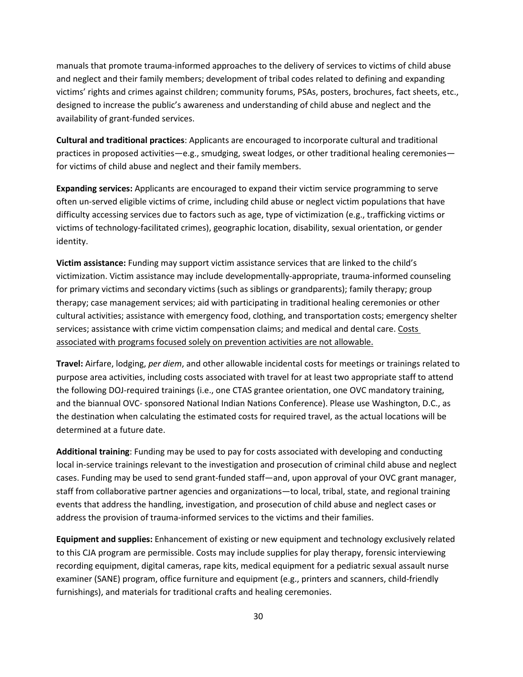and neglect and their family members; development of tribal codes related to defining and expanding manuals that promote trauma-informed approaches to the delivery of services to victims of child abuse victims' rights and crimes against children; community forums, PSAs, posters, brochures, fact sheets, etc., designed to increase the public's awareness and understanding of child abuse and neglect and the availability of grant-funded services.

**Cultural and traditional practices**: Applicants are encouraged to incorporate cultural and traditional practices in proposed activities—e.g., smudging, sweat lodges, or other traditional healing ceremonies for victims of child abuse and neglect and their family members.

**Expanding services:** Applicants are encouraged to expand their victim service programming to serve often un-served eligible victims of crime, including child abuse or neglect victim populations that have difficulty accessing services due to factors such as age, type of victimization (e.g., trafficking victims or victims of technology-facilitated crimes), geographic location, disability, sexual orientation, or gender identity.

 **Victim assistance:** Funding may support victim assistance services that are linked to the child's for primary victims and secondary victims (such as siblings or grandparents); family therapy; group services; assistance with crime victim compensation claims; and medical and dental care. Costs associated with programs focused solely on prevention activities are not allowable. victimization. Victim assistance may include developmentally-appropriate, trauma-informed counseling therapy; case management services; aid with participating in traditional healing ceremonies or other cultural activities; assistance with emergency food, clothing, and transportation costs; emergency shelter

 purpose area activities, including costs associated with travel for at least two appropriate staff to attend the following DOJ-required trainings (i.e., one CTAS grantee orientation, one OVC mandatory training, and the biannual OVC- sponsored National Indian Nations Conference). Please use Washington, D.C., as **Travel:** Airfare, lodging, *per diem*, and other allowable incidental costs for meetings or trainings related to the destination when calculating the estimated costs for required travel, as the actual locations will be determined at a future date.

 local in-service trainings relevant to the investigation and prosecution of criminal child abuse and neglect cases. Funding may be used to send grant-funded staff—and, upon approval of your OVC grant manager, events that address the handling, investigation, and prosecution of child abuse and neglect cases or address the provision of trauma-informed services to the victims and their families. **Additional training**: Funding may be used to pay for costs associated with developing and conducting staff from collaborative partner agencies and organizations—to local, tribal, state, and regional training

 to this CJA program are permissible. Costs may include supplies for play therapy, forensic interviewing recording equipment, digital cameras, rape kits, medical equipment for a pediatric sexual assault nurse examiner (SANE) program, office furniture and equipment (e.g., printers and scanners, child-friendly **Equipment and supplies:** Enhancement of existing or new equipment and technology exclusively related furnishings), and materials for traditional crafts and healing ceremonies.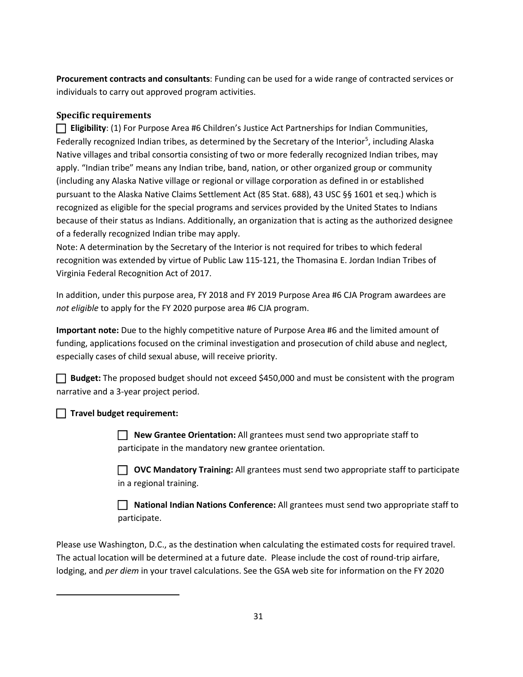**Procurement contracts and consultants**: Funding can be used for a wide range of contracted services or individuals to carry out approved program activities.

### **Specific requirements**

 Native villages and tribal consortia consisting of two or more federally recognized Indian tribes, may apply. "Indian tribe" means any Indian tribe, band, nation, or other organized group or community pursuant to the Alaska Native Claims Settlement Act (85 Stat. 688), 43 USC §§ 1601 et seq.) which is of a federally recognized Indian tribe may apply. **Eligibility**: (1) For Purpose Area #6 Children's Justice Act Partnerships for Indian Communities, Federally recognized Indian tribes, as determined by the Secretary of the Interior<sup>[5](#page-34-0)</sup>, including Alaska (including any Alaska Native village or regional or village corporation as defined in or established recognized as eligible for the special programs and services provided by the United States to Indians because of their status as Indians. Additionally, an organization that is acting as the authorized designee

 recognition was extended by virtue of Public Law 115-121, the Thomasina E. Jordan Indian Tribes of Virginia Federal Recognition Act of 2017. Note: A determination by the Secretary of the Interior is not required for tribes to which federal

 In addition, under this purpose area, FY 2018 and FY 2019 Purpose Area #6 CJA Program awardees are *not eligible* to apply for the FY 2020 purpose area #6 CJA program.

 **Important note:** Due to the highly competitive nature of Purpose Area #6 and the limited amount of funding, applications focused on the criminal investigation and prosecution of child abuse and neglect, especially cases of child sexual abuse, will receive priority.

**Budget:** The proposed budget should not exceed \$450,000 and must be consistent with the program narrative and a 3-year project period.

## **Travel budget requirement:**

<span id="page-34-0"></span> $\overline{a}$ 

 **New Grantee Orientation:** All grantees must send two appropriate staff to participate in the mandatory new grantee orientation.

 **OVC Mandatory Training:** All grantees must send two appropriate staff to participate in a regional training.

 **National Indian Nations Conference:** All grantees must send two appropriate staff to participate.

 lodging, and *per diem* in your travel calculations. See the GSA web site for information on the FY 2020 Please use Washington, D.C., as the destination when calculating the estimated costs for required travel. The actual location will be determined at a future date. Please include the cost of round-trip airfare,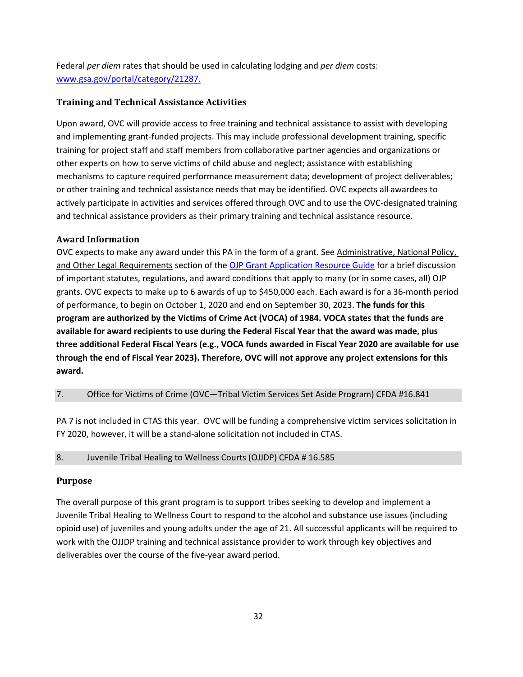Federal *per diem* rates that should be used in calculating lodging and *per diem* costs: [www.gsa.gov/portal/category/21287.](http://www.gsa.gov/portal/category/21287)

#### **Training and Technical Assistance Activities**

 and implementing grant-funded projects. This may include professional development training, specific other experts on how to serve victims of child abuse and neglect; assistance with establishing mechanisms to capture required performance measurement data; development of project deliverables; or other training and technical assistance needs that may be identified. OVC expects all awardees to Upon award, OVC will provide access to free training and technical assistance to assist with developing training for project staff and staff members from collaborative partner agencies and organizations or actively participate in activities and services offered through OVC and to use the OVC-designated training and technical assistance providers as their primary training and technical assistance resource.

#### **Award Information**

OVC expects to make any award under this PA in the form of a grant. See Administrative, National Policy, of important statutes, regulations, and award conditions that apply to many (or in some cases, all) OJP grants. OVC expects to make up to 6 awards of up to \$450,000 each. Each award is for a 36-month period of performance, to begin on October 1, 2020 and end on September 30, 2023. **The funds for this program are authorized by the Victims of Crime Act (VOCA) of 1984. VOCA states that the funds are available for award recipients to use during the Federal Fiscal Year that the award was made, plus**  and Other Legal Requirements section of th[e OJP Grant Application Resource Guide](https://www.ojp.gov/funding/Apply/Resources/Grant-App-Resource-Guide.htm) for a brief discussion **three additional Federal Fiscal Years (e.g., VOCA funds awarded in Fiscal Year 2020 are available for use through the end of Fiscal Year 2023). Therefore, OVC will not approve any project extensions for this award.** 

#### 7. Office for Victims of Crime (OVC—Tribal Victim Services Set Aside Program) CFDA #16.841

 PA 7 is not included in CTAS this year. OVC will be funding a comprehensive victim services solicitation in FY 2020, however, it will be a stand-alone solicitation not included in CTAS.

#### 8. Juvenile Tribal Healing to Wellness Courts (OJJDP) CFDA # 16.585

#### **Purpose**

 Juvenile Tribal Healing to Wellness Court to respond to the alcohol and substance use issues (including opioid use) of juveniles and young adults under the age of 21. All successful applicants will be required to work with the OJJDP training and technical assistance provider to work through key objectives and deliverables over the course of the five-year award period.<br> $32$ The overall purpose of this grant program is to support tribes seeking to develop and implement a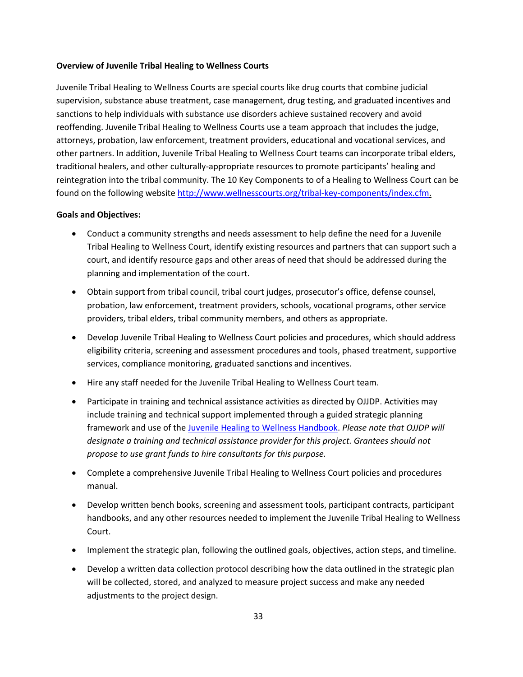#### **Overview of Juvenile Tribal Healing to Wellness Courts**

 supervision, substance abuse treatment, case management, drug testing, and graduated incentives and attorneys, probation, law enforcement, treatment providers, educational and vocational services, and reintegration into the tribal community. The 10 Key Components to of a Healing to Wellness Court can be Juvenile Tribal Healing to Wellness Courts are special courts like drug courts that combine judicial sanctions to help individuals with substance use disorders achieve sustained recovery and avoid reoffending. Juvenile Tribal Healing to Wellness Courts use a team approach that includes the judge, other partners. In addition, Juvenile Tribal Healing to Wellness Court teams can incorporate tribal elders, traditional healers, and other culturally-appropriate resources to promote participants' healing and found on the following website [http://www.wellnesscourts.org/tribal-key-components/index.cfm.](http://www.wellnesscourts.org/tribal-key-components/index.cfm)

#### **Goals and Objectives:**

- court, and identify resource gaps and other areas of need that should be addressed during the • Conduct a community strengths and needs assessment to help define the need for a Juvenile Tribal Healing to Wellness Court, identify existing resources and partners that can support such a planning and implementation of the court.
- Obtain support from tribal council, tribal court judges, prosecutor's office, defense counsel, probation, law enforcement, treatment providers, schools, vocational programs, other service providers, tribal elders, tribal community members, and others as appropriate.
- Develop Juvenile Tribal Healing to Wellness Court policies and procedures, which should address eligibility criteria, screening and assessment procedures and tools, phased treatment, supportive services, compliance monitoring, graduated sanctions and incentives.
- Hire any staff needed for the Juvenile Tribal Healing to Wellness Court team.
- *designate a training and technical assistance provider for this project. Grantees should not*  • Participate in training and technical assistance activities as directed by OJJDP. Activities may include training and technical support implemented through a guided strategic planning framework and use of the [Juvenile Healing to Wellness Handbook.](http://www.wellnesscourts.org/files/Tribal%20Healing%20to%20Wellness%20Courts%20The%20Key%20Components.pdf) *Please note that OJJDP will propose to use grant funds to hire consultants for this purpose.*
- Complete a comprehensive Juvenile Tribal Healing to Wellness Court policies and procedures manual.
- handbooks, and any other resources needed to implement the Juvenile Tribal Healing to Wellness • Develop written bench books, screening and assessment tools, participant contracts, participant Court.
- Implement the strategic plan, following the outlined goals, objectives, action steps, and timeline.
- • Develop a written data collection protocol describing how the data outlined in the strategic plan will be collected, stored, and analyzed to measure project success and make any needed adjustments to the project design.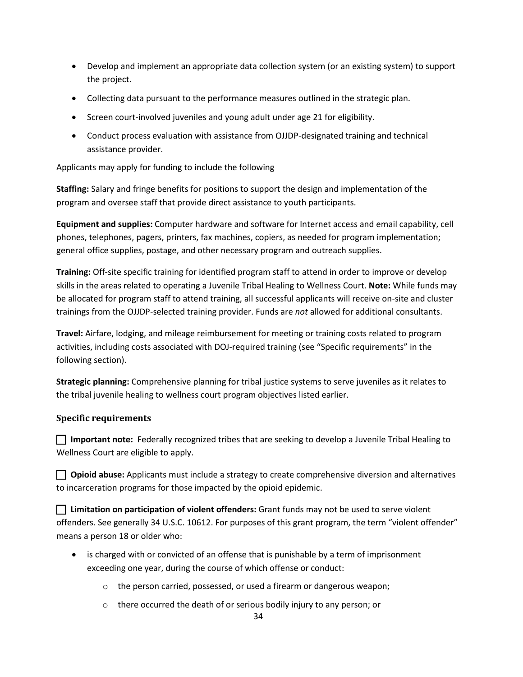- • Develop and implement an appropriate data collection system (or an existing system) to support the project.
- Collecting data pursuant to the performance measures outlined in the strategic plan.
- Screen court-involved juveniles and young adult under age 21 for eligibility.
- Conduct process evaluation with assistance from OJJDP-designated training and technical assistance provider.

Applicants may apply for funding to include the following

**Staffing:** Salary and fringe benefits for positions to support the design and implementation of the program and oversee staff that provide direct assistance to youth participants.

 phones, telephones, pagers, printers, fax machines, copiers, as needed for program implementation; **Equipment and supplies:** Computer hardware and software for Internet access and email capability, cell general office supplies, postage, and other necessary program and outreach supplies.

 **Training:** Off-site specific training for identified program staff to attend in order to improve or develop skills in the areas related to operating a Juvenile Tribal Healing to Wellness Court. **Note:** While funds may be allocated for program staff to attend training, all successful applicants will receive on-site and cluster trainings from the OJJDP-selected training provider. Funds are *not* allowed for additional consultants.

**Travel:** Airfare, lodging, and mileage reimbursement for meeting or training costs related to program activities, including costs associated with DOJ-required training (see "Specific requirements" in the following section).

 **Strategic planning:** Comprehensive planning for tribal justice systems to serve juveniles as it relates to the tribal juvenile healing to wellness court program objectives listed earlier.

### **Specific requirements**

 Wellness Court are eligible to apply. **Important note:** Federally recognized tribes that are seeking to develop a Juvenile Tribal Healing to

**Opioid abuse:** Applicants must include a strategy to create comprehensive diversion and alternatives to incarceration programs for those impacted by the opioid epidemic.

 offenders. See generally 34 U.S.C. 10612. For purposes of this grant program, the term "violent offender" means a person 18 or older who: **Limitation on participation of violent offenders:** Grant funds may not be used to serve violent

- is charged with or convicted of an offense that is punishable by a term of imprisonment exceeding one year, during the course of which offense or conduct:
	- o the person carried, possessed, or used a firearm or dangerous weapon;
	- o there occurred the death of or serious bodily injury to any person; or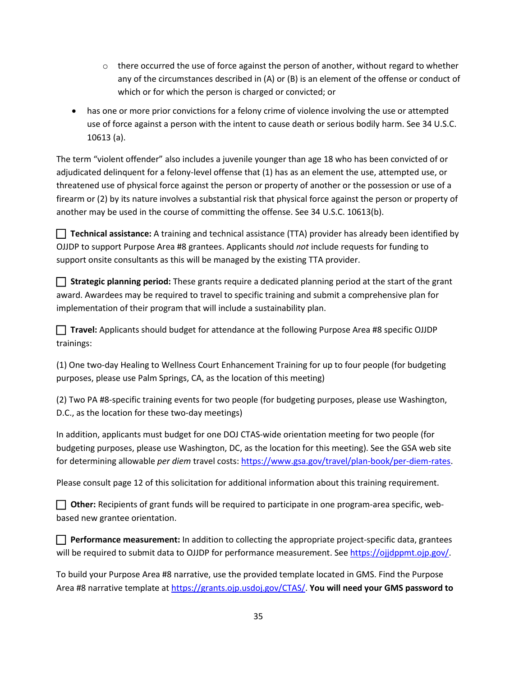- $\circ$  there occurred the use of force against the person of another, without regard to whether any of the circumstances described in (A) or (B) is an element of the offense or conduct of which or for which the person is charged or convicted; or
- • has one or more prior convictions for a felony crime of violence involving the use or attempted use of force against a person with the intent to cause death or serious bodily harm. See 34 U.S.C. 10613 (a).

 The term "violent offender" also includes a juvenile younger than age 18 who has been convicted of or adjudicated delinquent for a felony-level offense that (1) has as an element the use, attempted use, or threatened use of physical force against the person or property of another or the possession or use of a firearm or (2) by its nature involves a substantial risk that physical force against the person or property of another may be used in the course of committing the offense. See 34 U.S.C. 10613(b).

 OJJDP to support Purpose Area #8 grantees. Applicants should *not* include requests for funding to support onsite consultants as this will be managed by the existing TTA provider. **Technical assistance:** A training and technical assistance (TTA) provider has already been identified by

 **Strategic planning period:** These grants require a dedicated planning period at the start of the grant award. Awardees may be required to travel to specific training and submit a comprehensive plan for implementation of their program that will include a sustainability plan.

 **Travel:** Applicants should budget for attendance at the following Purpose Area #8 specific OJJDP trainings:

 (1) One two-day Healing to Wellness Court Enhancement Training for up to four people (for budgeting purposes, please use Palm Springs, CA, as the location of this meeting)

 D.C., as the location for these two-day meetings) (2) Two PA #8-specific training events for two people (for budgeting purposes, please use Washington,

 In addition, applicants must budget for one DOJ CTAS-wide orientation meeting for two people (for budgeting purposes, please use Washington, DC, as the location for this meeting). See the GSA web site for determining allowable *per diem* travel costs[: https://www.gsa.gov/travel/plan-book/per-diem-rates.](https://www.gsa.gov/travel/plan-book/per-diem-rates)

Please consult page 12 of this solicitation for additional information about this training requirement.

**Dimer:** Recipients of grant funds will be required to participate in one program-area specific, webbased new grantee orientation.

**Performance measurement:** In addition to collecting the appropriate project-specific data, grantees will be required to submit data to OJJDP for performance measurement. See [https://ojjdppmt.ojp.gov/.](https://ojjdppmt.ojp.gov/)

To build your Purpose Area #8 narrative, use the provided template located in GMS. Find the Purpose Area #8 narrative template a[t https://grants.ojp.usdoj.gov/CTAS/.](https://grants.ojp.usdoj.gov/CTAS/) **You will need your GMS password to**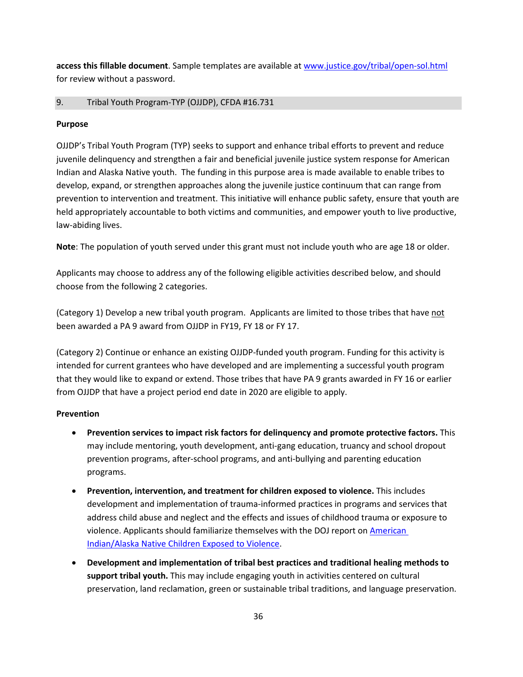**access this fillable document**. Sample templates are available a[t www.justice.gov/tribal/open-sol.html](http://www.justice.gov/tribal/open-sol.html)  for review without a password.

#### 9. 9. Tribal Youth Program-TYP (OJJDP), CFDA #16.731

#### **Purpose**

 Indian and Alaska Native youth. The funding in this purpose area is made available to enable tribes to held appropriately accountable to both victims and communities, and empower youth to live productive, OJJDP's Tribal Youth Program (TYP) seeks to support and enhance tribal efforts to prevent and reduce juvenile delinquency and strengthen a fair and beneficial juvenile justice system response for American develop, expand, or strengthen approaches along the juvenile justice continuum that can range from prevention to intervention and treatment. This initiative will enhance public safety, ensure that youth are law-abiding lives.

**Note**: The population of youth served under this grant must not include youth who are age 18 or older.

 Applicants may choose to address any of the following eligible activities described below, and should choose from the following 2 categories.

(Category 1) Develop a new tribal youth program. Applicants are limited to those tribes that have not been awarded a PA 9 award from OJJDP in FY19, FY 18 or FY 17.

 that they would like to expand or extend. Those tribes that have PA 9 grants awarded in FY 16 or earlier from OJJDP that have a project period end date in 2020 are eligible to apply. (Category 2) Continue or enhance an existing OJJDP-funded youth program. Funding for this activity is intended for current grantees who have developed and are implementing a successful youth program

#### **Prevention**

- **Prevention services to impact risk factors for delinquency and promote protective factors.** This may include mentoring, youth development, anti-gang education, truancy and school dropout prevention programs, after-school programs, and anti-bullying and parenting education programs.
- development and implementation of trauma-informed practices in programs and services that • **Prevention, intervention, and treatment for children exposed to violence.** This includes address child abuse and neglect and the effects and issues of childhood trauma or exposure to violence. Applicants should familiarize themselves with the DOJ report on [American](https://www.justice.gov/sites/default/files/defendingchildhood/pages/attachments/2014/11/18/finalaianreport.pdf)  [Indian/Alaska Native Children Exposed to Violence.](https://www.justice.gov/sites/default/files/defendingchildhood/pages/attachments/2014/11/18/finalaianreport.pdf)
- **support tribal youth.** This may include engaging youth in activities centered on cultural • **Development and implementation of tribal best practices and traditional healing methods to**  preservation, land reclamation, green or sustainable tribal traditions, and language preservation.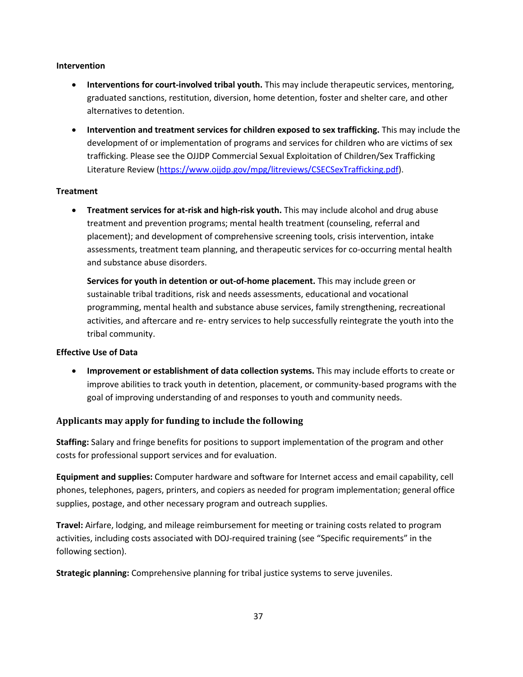#### **Intervention**

- graduated sanctions, restitution, diversion, home detention, foster and shelter care, and other • **Interventions for court-involved tribal youth.** This may include therapeutic services, mentoring, alternatives to detention.
- • **Intervention and treatment services for children exposed to sex trafficking.** This may include the development of or implementation of programs and services for children who are victims of sex trafficking. Please see the OJJDP Commercial Sexual Exploitation of Children/Sex Trafficking Literature Review [\(https://www.ojjdp.gov/mpg/litreviews/CSECSexTrafficking.pdf\)](https://www.ojjdp.gov/mpg/litreviews/CSECSexTrafficking.pdf).

#### **Treatment**

 • **Treatment services for at-risk and high-risk youth.** This may include alcohol and drug abuse treatment and prevention programs; mental health treatment (counseling, referral and placement); and development of comprehensive screening tools, crisis intervention, intake assessments, treatment team planning, and therapeutic services for co-occurring mental health and substance abuse disorders.

 activities, and aftercare and re- entry services to help successfully reintegrate the youth into the **Services for youth in detention or out-of-home placement.** This may include green or sustainable tribal traditions, risk and needs assessments, educational and vocational programming, mental health and substance abuse services, family strengthening, recreational tribal community.

#### **Effective Use of Data**

 • **Improvement or establishment of data collection systems.** This may include efforts to create or goal of improving understanding of and responses to youth and community needs. improve abilities to track youth in detention, placement, or community-based programs with the

#### **Applicants may apply for funding to include the following**

**Staffing:** Salary and fringe benefits for positions to support implementation of the program and other costs for professional support services and for evaluation.

**Equipment and supplies:** Computer hardware and software for Internet access and email capability, cell phones, telephones, pagers, printers, and copiers as needed for program implementation; general office supplies, postage, and other necessary program and outreach supplies.

**Travel:** Airfare, lodging, and mileage reimbursement for meeting or training costs related to program activities, including costs associated with DOJ-required training (see "Specific requirements" in the following section).

**Strategic planning:** Comprehensive planning for tribal justice systems to serve juveniles.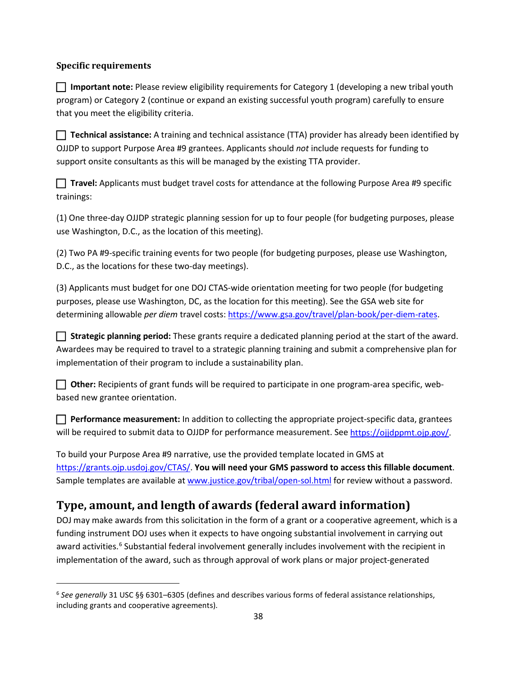#### <span id="page-41-0"></span>**Specific requirements**

 $\overline{\phantom{a}}$ 

 **Important note:** Please review eligibility requirements for Category 1 (developing a new tribal youth program) or Category 2 (continue or expand an existing successful youth program) carefully to ensure that you meet the eligibility criteria.

 OJJDP to support Purpose Area #9 grantees. Applicants should *not* include requests for funding to **Technical assistance:** A training and technical assistance (TTA) provider has already been identified by support onsite consultants as this will be managed by the existing TTA provider.

trainings: **Travel:** Applicants must budget travel costs for attendance at the following Purpose Area #9 specific

 use Washington, D.C., as the location of this meeting). (1) One three-day OJJDP strategic planning session for up to four people (for budgeting purposes, please

 D.C., as the locations for these two-day meetings). (2) Two PA #9-specific training events for two people (for budgeting purposes, please use Washington,

 determining allowable *per diem* travel costs: [https://www.gsa.gov/travel/plan-book/per-diem-rates.](https://www.gsa.gov/travel/plan-book/per-diem-rates) (3) Applicants must budget for one DOJ CTAS-wide orientation meeting for two people (for budgeting purposes, please use Washington, DC, as the location for this meeting). See the GSA web site for

 **Strategic planning period:** These grants require a dedicated planning period at the start of the award. implementation of their program to include a sustainability plan. Awardees may be required to travel to a strategic planning training and submit a comprehensive plan for

**Other:** Recipients of grant funds will be required to participate in one program-area specific, webbased new grantee orientation.

**Performance measurement:** In addition to collecting the appropriate project-specific data, grantees will be required to submit data to OJJDP for performance measurement. See [https://ojjdppmt.ojp.gov/.](https://ojjdppmt.ojp.gov/)

Sample templates are available a[t www.justice.gov/tribal/open-sol.html f](http://www.justice.gov/tribal/open-sol.html)or review without a password. To build your Purpose Area #9 narrative, use the provided template located in GMS at [https://grants.ojp.usdoj.gov/CTAS/.](https://grants.ojp.usdoj.gov/CTAS/) **You will need your GMS password to access this fillable document**.

## **Type, amount, and length of awards (federal award information)**

 DOJ may make awards from this solicitation in the form of a grant or a cooperative agreement, which is a funding instrument DOJ uses when it expects to have ongoing substantial involvement in carrying out award activities.<sup>6</sup> Substantial federal involvement generally includes involvement with the recipient in implementation of the award, such as through approval of work plans or major project-generated

<span id="page-41-1"></span><sup>6</sup>*See generally* 31 USC §§ 6301–6305 (defines and describes various forms of federal assistance relationships, including grants and cooperative agreements).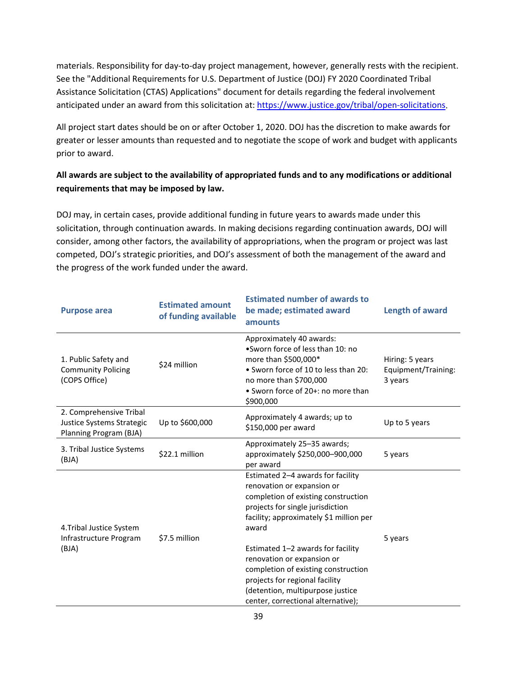materials. Responsibility for day-to-day project management, however, generally rests with the recipient. See the "Additional Requirements for U.S. Department of Justice (DOJ) FY 2020 Coordinated Tribal anticipated under an award from this solicitation at: [https://www.justice.gov/tribal/open-solicitations.](https://www.justice.gov/tribal/open-solicitations) Assistance Solicitation (CTAS) Applications" document for details regarding the federal involvement

 greater or lesser amounts than requested and to negotiate the scope of work and budget with applicants All project start dates should be on or after October 1, 2020. DOJ has the discretion to make awards for prior to award.

### **requirements that may be imposed by law. All awards are subject to the availability of appropriated funds and to any modifications or additional**

 DOJ may, in certain cases, provide additional funding in future years to awards made under this consider, among other factors, the availability of appropriations, when the program or project was last competed, DOJ's strategic priorities, and DOJ's assessment of both the management of the award and solicitation, through continuation awards. In making decisions regarding continuation awards, DOJ will the progress of the work funded under the award.

| <b>Purpose area</b>                                                            | <b>Estimated amount</b><br>of funding available | <b>Estimated number of awards to</b><br>be made; estimated award<br>amounts                                                                                                                                                         | Length of award                                   |
|--------------------------------------------------------------------------------|-------------------------------------------------|-------------------------------------------------------------------------------------------------------------------------------------------------------------------------------------------------------------------------------------|---------------------------------------------------|
| 1. Public Safety and<br><b>Community Policing</b><br>(COPS Office)             | \$24 million                                    | Approximately 40 awards:<br>•Sworn force of less than 10: no<br>more than \$500,000*<br>• Sworn force of 10 to less than 20:<br>no more than \$700,000<br>• Sworn force of 20+: no more than<br>\$900,000                           | Hiring: 5 years<br>Equipment/Training:<br>3 years |
| 2. Comprehensive Tribal<br>Justice Systems Strategic<br>Planning Program (BJA) | Up to \$600,000                                 | Approximately 4 awards; up to<br>\$150,000 per award                                                                                                                                                                                | Up to 5 years                                     |
| 3. Tribal Justice Systems<br>(BJA)                                             | \$22.1 million                                  | Approximately 25-35 awards;<br>approximately \$250,000-900,000<br>per award                                                                                                                                                         | 5 years                                           |
| 4. Tribal Justice System<br>Infrastructure Program<br>(BJA)                    | \$7.5 million                                   | Estimated 2-4 awards for facility<br>renovation or expansion or<br>completion of existing construction<br>projects for single jurisdiction<br>facility; approximately \$1 million per<br>award<br>Estimated 1-2 awards for facility | 5 years                                           |
|                                                                                |                                                 | renovation or expansion or<br>completion of existing construction<br>projects for regional facility<br>(detention, multipurpose justice<br>center, correctional alternative);                                                       |                                                   |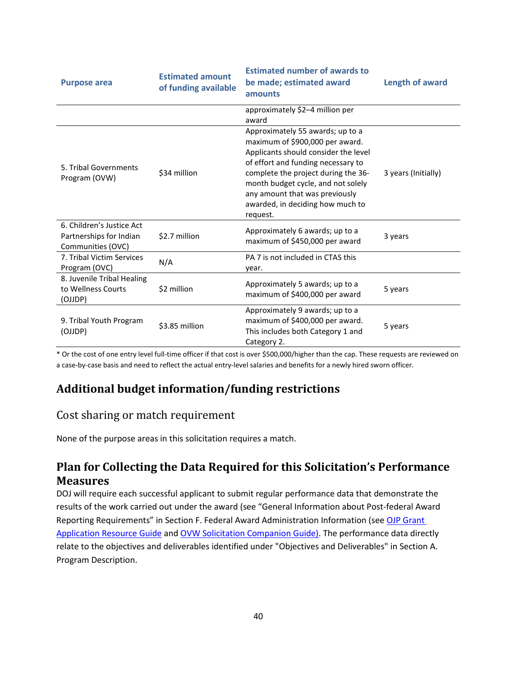| <b>Purpose area</b>                                                       | <b>Estimated amount</b><br>of funding available | <b>Estimated number of awards to</b><br>be made; estimated award<br>amounts                                                                                                                                                                                                                                      | Length of award     |
|---------------------------------------------------------------------------|-------------------------------------------------|------------------------------------------------------------------------------------------------------------------------------------------------------------------------------------------------------------------------------------------------------------------------------------------------------------------|---------------------|
|                                                                           |                                                 | approximately \$2-4 million per<br>award                                                                                                                                                                                                                                                                         |                     |
| 5. Tribal Governments<br>Program (OVW)                                    | \$34 million                                    | Approximately 55 awards; up to a<br>maximum of \$900,000 per award.<br>Applicants should consider the level<br>of effort and funding necessary to<br>complete the project during the 36-<br>month budget cycle, and not solely<br>any amount that was previously<br>awarded, in deciding how much to<br>request. | 3 years (Initially) |
| 6. Children's Justice Act<br>Partnerships for Indian<br>Communities (OVC) | \$2.7 million                                   | Approximately 6 awards; up to a<br>maximum of \$450,000 per award                                                                                                                                                                                                                                                | 3 years             |
| 7. Tribal Victim Services<br>Program (OVC)                                | N/A                                             | PA 7 is not included in CTAS this<br>year.                                                                                                                                                                                                                                                                       |                     |
| 8. Juvenile Tribal Healing<br>to Wellness Courts<br>(OJJDP)               | \$2 million                                     | Approximately 5 awards; up to a<br>maximum of \$400,000 per award                                                                                                                                                                                                                                                | 5 years             |
| 9. Tribal Youth Program<br>(OJJDP)                                        | \$3.85 million                                  | Approximately 9 awards; up to a<br>maximum of \$400,000 per award.<br>This includes both Category 1 and<br>Category 2.                                                                                                                                                                                           | 5 years             |

 \* Or the cost of one entry level full-time officer if that cost is over \$500,000/higher than the cap. These requests are reviewed on a case-by-case basis and need to reflect the actual entry-level salaries and benefits for a newly hired sworn officer.

## **Additional budget information/funding restrictions**

## Cost sharing or match requirement

None of the purpose areas in this solicitation requires a match.

## **Plan for Collecting the Data Required for this Solicitation's Performance Measures**

 results of the work carried out under the award (see "General Information about Post-federal Award DOJ will require each successful applicant to submit regular performance data that demonstrate the Reporting Requirements" in Section F. Federal Award Administration Information (see OJP Grant [Application Resource Guide a](https://ojp.gov/funding/Apply/Resources/Grant-App-Resource-Guide.htm)nd [OVW Solicitation Companion Guide\)](https://www.justice.gov/ovw/page/file/1217366/download). The performance data directly relate to the objectives and deliverables identified under "Objectives and Deliverables" in Section A. Program Description.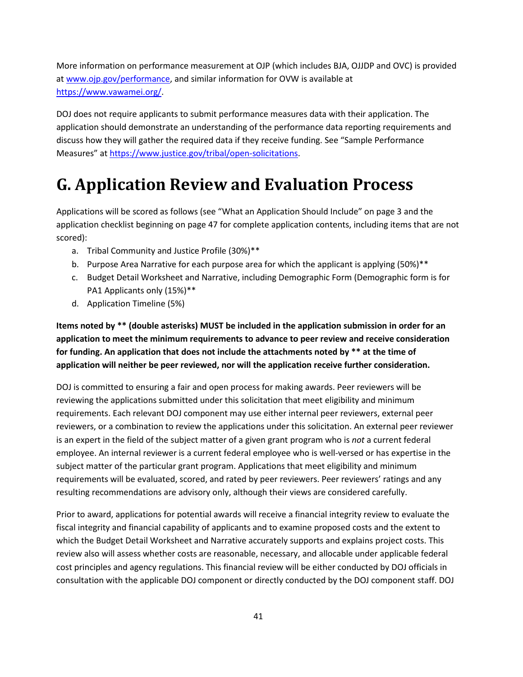<span id="page-44-0"></span> More information on performance measurement at OJP (which includes BJA, OJJDP and OVC) is provided at www.ojp.gov/performance</u>, and similar information for OVW is available at [https://www.vawamei.org/.](https://www.vawamei.org/)

DOJ does not require applicants to submit performance measures data with their application. The application should demonstrate an understanding of the performance data reporting requirements and discuss how they will gather the required data if they receive funding. See "Sample Performance Measures" at [https://www.justice.gov/tribal/open-solicitations.](https://www.justice.gov/tribal/open-solicitations)

# **G. Application Review and Evaluation Process**

 Applications will be scored as follows (see "What an Application Should Include" on page 3 and the application checklist beginning on page 47 for complete application contents, including items that are not scored):

- a. Tribal Community and Justice Profile (30%)\*\*
- b. Purpose Area Narrative for each purpose area for which the applicant is applying (50%)\*\*
- PA1 Applicants only (15%)\*\* c. Budget Detail Worksheet and Narrative, including Demographic Form (Demographic form is for
- d. Application Timeline (5%)

 **application to meet the minimum requirements to advance to peer review and receive consideration application will neither be peer reviewed, nor will the application receive further consideration. Items noted by \*\* (double asterisks) MUST be included in the application submission in order for an for funding. An application that does not include the attachments noted by \*\* at the time of** 

 DOJ is committed to ensuring a fair and open process for making awards. Peer reviewers will be is an expert in the field of the subject matter of a given grant program who is *not* a current federal subject matter of the particular grant program. Applications that meet eligibility and minimum requirements will be evaluated, scored, and rated by peer reviewers. Peer reviewers' ratings and any reviewing the applications submitted under this solicitation that meet eligibility and minimum requirements. Each relevant DOJ component may use either internal peer reviewers, external peer reviewers, or a combination to review the applications under this solicitation. An external peer reviewer employee. An internal reviewer is a current federal employee who is well-versed or has expertise in the resulting recommendations are advisory only, although their views are considered carefully.

 fiscal integrity and financial capability of applicants and to examine proposed costs and the extent to which the Budget Detail Worksheet and Narrative accurately supports and explains project costs. This review also will assess whether costs are reasonable, necessary, and allocable under applicable federal cost principles and agency regulations. This financial review will be either conducted by DOJ officials in Prior to award, applications for potential awards will receive a financial integrity review to evaluate the consultation with the applicable DOJ component or directly conducted by the DOJ component staff. DOJ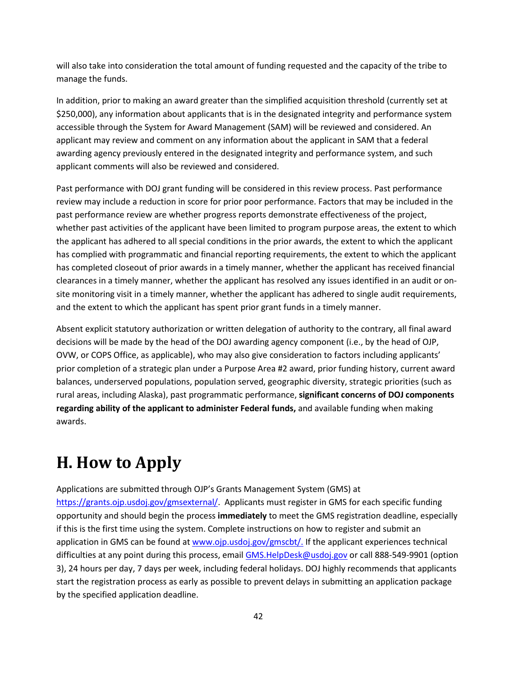<span id="page-45-1"></span>will also take into consideration the total amount of funding requested and the capacity of the tribe to manage the funds.

 accessible through the System for Award Management (SAM) will be reviewed and considered. An In addition, prior to making an award greater than the simplified acquisition threshold (currently set at \$250,000), any information about applicants that is in the designated integrity and performance system applicant may review and comment on any information about the applicant in SAM that a federal awarding agency previously entered in the designated integrity and performance system, and such applicant comments will also be reviewed and considered.

 review may include a reduction in score for prior poor performance. Factors that may be included in the the applicant has adhered to all special conditions in the prior awards, the extent to which the applicant site monitoring visit in a timely manner, whether the applicant has adhered to single audit requirements, and the extent to which the applicant has spent prior grant funds in a timely manner. Past performance with DOJ grant funding will be considered in this review process. Past performance past performance review are whether progress reports demonstrate effectiveness of the project, whether past activities of the applicant have been limited to program purpose areas, the extent to which has complied with programmatic and financial reporting requirements, the extent to which the applicant has completed closeout of prior awards in a timely manner, whether the applicant has received financial clearances in a timely manner, whether the applicant has resolved any issues identified in an audit or on-

 Absent explicit statutory authorization or written delegation of authority to the contrary, all final award decisions will be made by the head of the DOJ awarding agency component (i.e., by the head of OJP, OVW, or COPS Office, as applicable), who may also give consideration to factors including applicants'  rural areas, including Alaska), past programmatic performance, **significant concerns of DOJ components**  prior completion of a strategic plan under a Purpose Area #2 award, prior funding history, current award balances, underserved populations, population served, geographic diversity, strategic priorities (such as **regarding ability of the applicant to administer Federal funds,** and available funding when making awards.

# <span id="page-45-0"></span>**H. How to Apply**

 Applications are submitted through OJP's Grants Management System (GMS) at if this is the first time using the system. Complete instructions on how to register and submit an 3), 24 hours per day, 7 days per week, including federal holidays. DOJ highly recommends that applicants [https://grants.ojp.usdoj.gov/gmsexternal/.](https://grants.ojp.usdoj.gov/gmsexternal/) Applicants must register in GMS for each specific funding opportunity and should begin the process **immediately** to meet the GMS registration deadline, especially application in GMS can be found at [www.ojp.usdoj.gov/gmscbt/.](http://www.ojp.usdoj.gov/gmscbt/) If the applicant experiences technical difficulties at any point during this process, emai[l GMS.HelpDesk@usdoj.gov o](mailto:GMS.HelpDesk@usdoj.gov)r call 888-549-9901 (option start the registration process as early as possible to prevent delays in submitting an application package by the specified application deadline.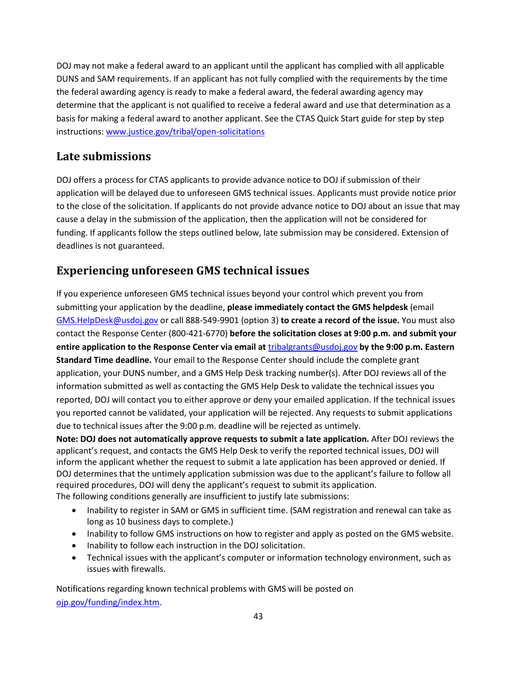<span id="page-46-0"></span> DUNS and SAM requirements. If an applicant has not fully complied with the requirements by the time the federal awarding agency is ready to make a federal award, the federal awarding agency may instructions: www.justice.gov/tribal/open-solicitations DOJ may not make a federal award to an applicant until the applicant has complied with all applicable determine that the applicant is not qualified to receive a federal award and use that determination as a basis for making a federal award to another applicant. See the CTAS Quick Start guide for step by step

## **Late submissions**

 DOJ offers a process for CTAS applicants to provide advance notice to DOJ if submission of their application will be delayed due to unforeseen GMS technical issues. Applicants must provide notice prior funding. If applicants follow the steps outlined below, late submission may be considered. Extension of to the close of the solicitation. If applicants do not provide advance notice to DOJ about an issue that may cause a delay in the submission of the application, then the application will not be considered for deadlines is not guaranteed.

## **Experiencing unforeseen GMS technical issues**

 If you experience unforeseen GMS technical issues beyond your control which prevent you from  submitting your application by the deadline, **please immediately contact the GMS helpdesk** (email  [GMS.HelpDesk@usdoj.gov o](mailto:GMS.HelpDesk@usdoj.gov)r call 888-549-9901 (option 3) **to create a record of the issue.** You must also  contact the Response Center (800-421-6770) **before the solicitation closes at 9:00 p.m. and submit your entire application to the Response Center via email at** [tribalgrants@usdoj.gov](mailto:tribalgrants@usdoj.gov) **by the 9:00 p.m. Eastern**  reported, DOJ will contact you to either approve or deny your emailed application. If the technical issues **Standard Time deadline.** Your email to the Response Center should include the complete grant application, your DUNS number, and a GMS Help Desk tracking number(s). After DOJ reviews all of the information submitted as well as contacting the GMS Help Desk to validate the technical issues you you reported cannot be validated, your application will be rejected. Any requests to submit applications due to technical issues after the 9:00 p.m. deadline will be rejected as untimely.

 applicant's request, and contacts the GMS Help Desk to verify the reported technical issues, DOJ will inform the applicant whether the request to submit a late application has been approved or denied. If DOJ determines that the untimely application submission was due to the applicant's failure to follow all **Note: DOJ does not automatically approve requests to submit a late application.** After DOJ reviews the required procedures, DOJ will deny the applicant's request to submit its application. The following conditions generally are insufficient to justify late submissions:

- • Inability to register in SAM or GMS in sufficient time. (SAM registration and renewal can take as long as 10 business days to complete.)
- Inability to follow GMS instructions on how to register and apply as posted on the GMS website.
- Inability to follow each instruction in the DOJ solicitation.
- Technical issues with the applicant's computer or information technology environment, such as issues with firewalls.

Notifications regarding known technical problems with GMS will be posted on [ojp.gov/funding/index.htm.](http://ojp.gov/funding/index.htm)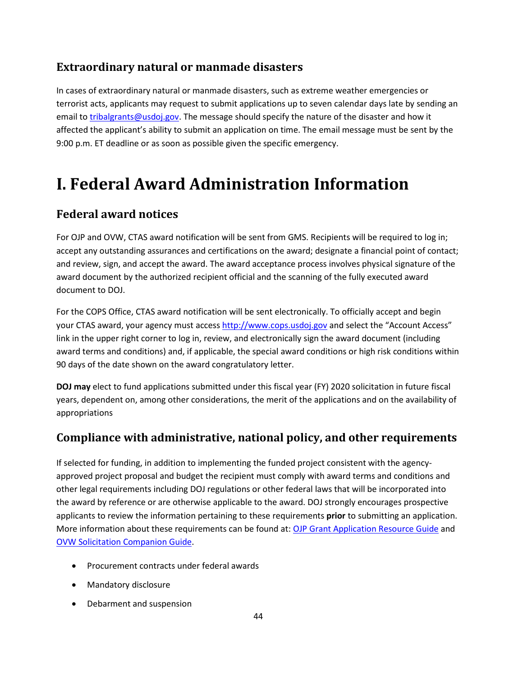## <span id="page-47-0"></span>**Extraordinary natural or manmade disasters**

 In cases of extraordinary natural or manmade disasters, such as extreme weather emergencies or email to *tribalgrants@usdoj.gov*. The message should specify the nature of the disaster and how it affected the applicant's ability to submit an application on time. The email message must be sent by the 9:00 p.m. ET deadline or as soon as possible given the specific emergency. terrorist acts, applicants may request to submit applications up to seven calendar days late by sending an

# **I. Federal Award Administration Information**

## **Federal award notices**

 For OJP and OVW, CTAS award notification will be sent from GMS. Recipients will be required to log in; accept any outstanding assurances and certifications on the award; designate a financial point of contact; and review, sign, and accept the award. The award acceptance process involves physical signature of the award document by the authorized recipient official and the scanning of the fully executed award document to DOJ.

your CTAS award, your agency must access [http://www.cops.usdoj.gov a](http://www.cops.usdoj.gov/)nd select the "Account Access" award terms and conditions) and, if applicable, the special award conditions or high risk conditions within For the COPS Office, CTAS award notification will be sent electronically. To officially accept and begin link in the upper right corner to log in, review, and electronically sign the award document (including 90 days of the date shown on the award congratulatory letter.

 **DOJ may** elect to fund applications submitted under this fiscal year (FY) 2020 solicitation in future fiscal years, dependent on, among other considerations, the merit of the applications and on the availability of appropriations

## **Compliance with administrative, national policy, and other requirements**

 other legal requirements including DOJ regulations or other federal laws that will be incorporated into If selected for funding, in addition to implementing the funded project consistent with the agencyapproved project proposal and budget the recipient must comply with award terms and conditions and the award by reference or are otherwise applicable to the award. DOJ strongly encourages prospective applicants to review the information pertaining to these requirements **prior** to submitting an application. More information about these requirements can be found at: [OJP Grant Application Resource Guide](https://ojp.gov/funding/Apply/Resources/Grant-App-Resource-Guide.htm) and [OVW Solicitation Companion Guide.](https://www.justice.gov/ovw/page/file/1217366/download)

- Procurement contracts under federal awards
- Mandatory disclosure
- Debarment and suspension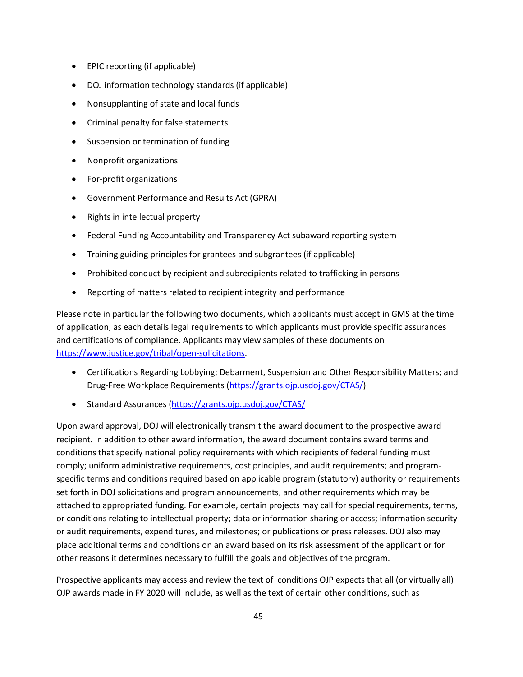- EPIC reporting (if applicable)
- DOJ information technology standards (if applicable)
- Nonsupplanting of state and local funds
- Criminal penalty for false statements
- Suspension or termination of funding
- Nonprofit organizations
- For-profit organizations
- Government Performance and Results Act (GPRA)
- Rights in intellectual property
- Federal Funding Accountability and Transparency Act subaward reporting system
- Training guiding principles for grantees and subgrantees (if applicable)
- Prohibited conduct by recipient and subrecipients related to trafficking in persons
- Reporting of matters related to recipient integrity and performance

 Please note in particular the following two documents, which applicants must accept in GMS at the time and certifications of compliance. Applicants may view samples of these documents on of application, as each details legal requirements to which applicants must provide specific assurances [https://www.justice.gov/tribal/open-solicitations.](https://www.justice.gov/tribal/open-solicitations)

- Certifications Regarding Lobbying; Debarment, Suspension and Other Responsibility Matters; and Drug-Free Workplace [Requirements \(https://grants.ojp.usdoj.gov/CTAS/\)](http://www.justice.gov/tribal/file/794076/download)
- Standard Assurances [\(https://grants.ojp.usdoj.gov/CTAS/](https://grants.ojp.usdoj.gov/CTAS/)

 Upon award approval, DOJ will electronically transmit the award document to the prospective award set forth in DOJ solicitations and program announcements, and other requirements which may be or conditions relating to intellectual property; data or information sharing or access; information security or audit requirements, expenditures, and milestones; or publications or press releases. DOJ also may place additional terms and conditions on an award based on its risk assessment of the applicant or for recipient. In addition to other award information, the award document contains award terms and conditions that specify national policy requirements with which recipients of federal funding must comply; uniform administrative requirements, cost principles, and audit requirements; and programspecific terms and conditions required based on applicable program (statutory) authority or requirements attached to appropriated funding. For example, certain projects may call for special requirements, terms, other reasons it determines necessary to fulfill the goals and objectives of the program.

 Prospective applicants may access and review the text of conditions OJP expects that all (or virtually all) OJP awards made in FY 2020 will include, as well as the text of certain other conditions, such as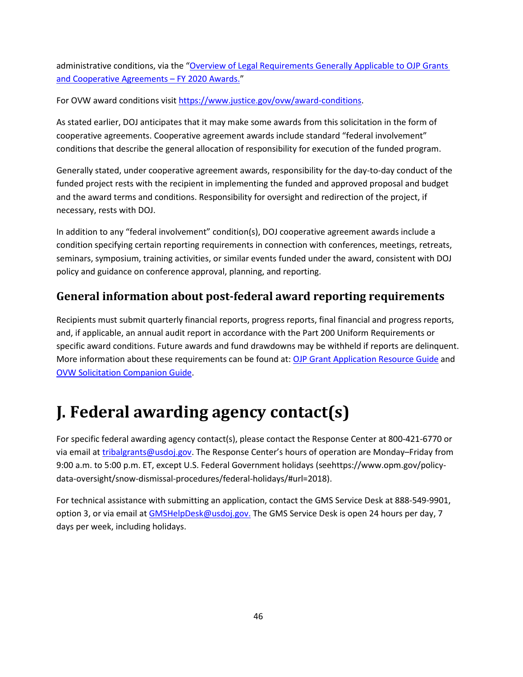<span id="page-49-0"></span>administrative conditions, via the "Overview of Legal Requirements Generally Applicable to OJP Grants [and Cooperative Agreements – FY 2020 Awards.](https://ojp.gov/funding/Explore/LegalOverview2020/index.htm)"

For OVW award conditions visit [https://www.justice.gov/ovw/award-conditions.](https://www.justice.gov/ovw/award-conditions)

 As stated earlier, DOJ anticipates that it may make some awards from this solicitation in the form of cooperative agreements. Cooperative agreement awards include standard "federal involvement" conditions that describe the general allocation of responsibility for execution of the funded program.

Generally stated, under cooperative agreement awards, responsibility for the day-to-day conduct of the funded project rests with the recipient in implementing the funded and approved proposal and budget and the award terms and conditions. Responsibility for oversight and redirection of the project, if necessary, rests with DOJ.

 condition specifying certain reporting requirements in connection with conferences, meetings, retreats, seminars, symposium, training activities, or similar events funded under the award, consistent with DOJ In addition to any "federal involvement" condition(s), DOJ cooperative agreement awards include a policy and guidance on conference approval, planning, and reporting.

## **General information about post-federal award reporting requirements**

 and, if applicable, an annual audit report in accordance with the Part 200 Uniform Requirements or Recipients must submit quarterly financial reports, progress reports, final financial and progress reports, specific award conditions. Future awards and fund drawdowns may be withheld if reports are delinquent. More information about these requirements can be found at: [OJP Grant Application Resource Guide](https://ojp.gov/funding/Apply/Resources/Grant-App-Resource-Guide.htm) and [OVW Solicitation Companion Guide.](https://www.justice.gov/ovw/page/file/1217366/download)

# **J. Federal awarding agency contact(s)**

 9:00 a.m. to 5:00 p.m. ET, except U.S. Federal Government holidays [\(seehttps://www.opm.gov/policy](https://seehttps://www.opm.gov/policy)-For specific federal awarding agency contact(s), please contact the Response Center at 800-421-6770 or via email at [tribalgrants@usdoj.gov.](mailto:tribalgrants@usdoj.gov) The Response Center's hours of operation are Monday-Friday from data-oversight/snow-dismissal-procedures/federal-holidays/#url=2018).

 For technical assistance with submitting an application, contact the GMS Service Desk at 888-549-9901, option 3, or via email a[t GMSHelpDesk@usdoj.gov.](mailto:GMSHelpDesk@usdoj.gov.) The GMS Service Desk is open 24 hours per day, 7 days per week, including holidays.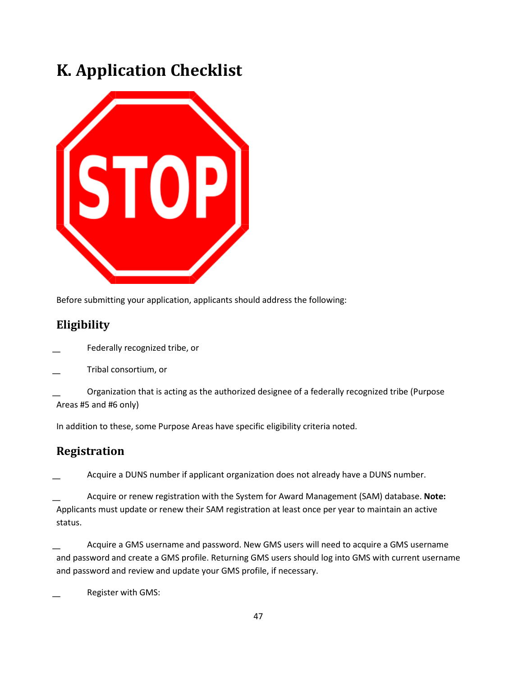# <span id="page-50-0"></span>**K. Application Checklist**



Before submitting your application, applicants should address the following:

## **Eligibility**

- ͟ Federally recognized tribe, or
- ͟ Tribal consortium, or

Organization that is acting as the authorized designee of a federally recognized tribe (Purpose Areas #5 and #6 only)

In addition to these, some Purpose Areas have specific eligibility criteria noted.

## **Registration**

͟ Acquire a DUNS number if applicant organization does not already have a DUNS number.

 Applicants must update or renew their SAM registration at least once per year to maintain an active ͟ Acquire or renew registration with the System for Award Management (SAM) database. **Note:**  status.

 ͟ Acquire a GMS username and password. New GMS users will need to acquire a GMS username and password and create a GMS profile. Returning GMS users should log into GMS with current username and password and review and update your GMS profile, if necessary.

͟ Register with GMS: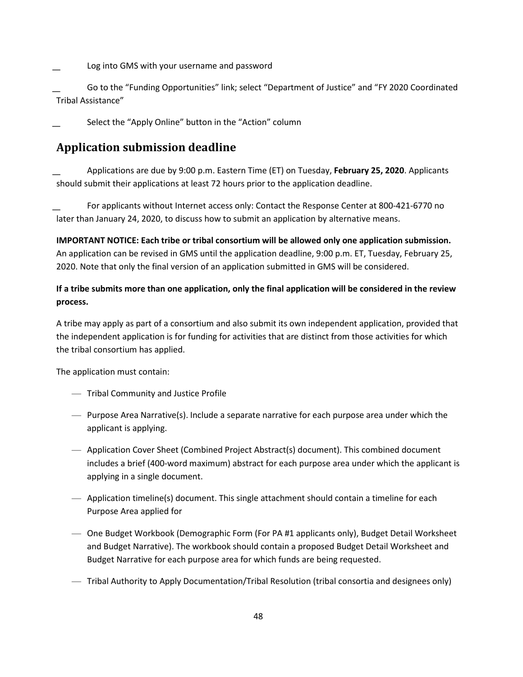<span id="page-51-0"></span>͟ Log into GMS with your username and password

 ͟ Go to the "Funding Opportunities" link; select "Department of Justice" and "FY 2020 Coordinated Tribal Assistance"

͟ Select the "Apply Online" button in the "Action" column

## **Application submission deadline**

 should submit their applications at least 72 hours prior to the application deadline. ͟ Applications are due by 9:00 p.m. Eastern Time (ET) on Tuesday, **February 25, 2020**. Applicants

 later than January 24, 2020, to discuss how to submit an application by alternative means. For applicants without Internet access only: Contact the Response Center at 800-421-6770 no

 **IMPORTANT NOTICE: Each tribe or tribal consortium will be allowed only one application submission.**  An application can be revised in GMS until the application deadline, 9:00 p.m. ET, Tuesday, February 25, 2020. Note that only the final version of an application submitted in GMS will be considered.

### **If a tribe submits more than one application, only the final application will be considered in the review process.**

 A tribe may apply as part of a consortium and also submit its own independent application, provided that the independent application is for funding for activities that are distinct from those activities for which the tribal consortium has applied.

The application must contain:

- Tribal Community and Justice Profile
- Purpose Area Narrative(s). Include a separate narrative for each purpose area under which the applicant is applying.
- Application Cover Sheet (Combined Project Abstract(s) document). This combined document includes a brief (400-word maximum) abstract for each purpose area under which the applicant is applying in a single document.
- Application timeline(s) document. This single attachment should contain a timeline for each Purpose Area applied for
- — One Budget Workbook (Demographic Form (For PA #1 applicants only), Budget Detail Worksheet Budget Narrative for each purpose area for which funds are being requested. and Budget Narrative). The workbook should contain a proposed Budget Detail Worksheet and
- Tribal Authority to Apply Documentation/Tribal Resolution (tribal consortia and designees only)